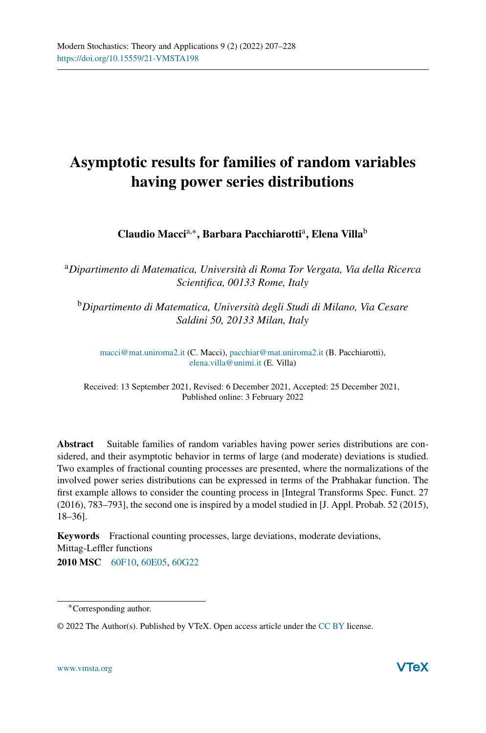# **Asymptotic results for families of random variables having power series distributions**

**Claudio Macci**a,∗**, Barbara Pacchiarotti**a**, Elena Villa**<sup>b</sup>

<sup>a</sup>*Dipartimento di Matematica, Università di Roma Tor Vergata, Via della Ricerca Scientifica, 00133 Rome, Italy*

<sup>b</sup>*Dipartimento di Matematica, Università degli Studi di Milano, Via Cesare Saldini 50, 20133 Milan, Italy*

[macci@mat.uniroma2.it](mailto:macci@mat.uniroma2.it) (C. Macci), [pacchiar@mat.uniroma2.it](mailto:pacchiar@mat.uniroma2.it) (B. Pacchiarotti), [elena.villa@unimi.it](mailto:elena.villa@unimi.it) (E. Villa)

Received: 13 September 2021, Revised: 6 December 2021, Accepted: 25 December 2021, Published online: 3 February 2022

**Abstract** Suitable families of random variables having power series distributions are considered, and their asymptotic behavior in terms of large (and moderate) deviations is studied. Two examples of fractional counting processes are presented, where the normalizations of the involved power series distributions can be expressed in terms of the Prabhakar function. The first example allows to consider the counting process in [Integral Transforms Spec. Funct. 27 (2016), 783–793], the second one is inspired by a model studied in [J. Appl. Probab. 52 (2015), 18–36].

**Keywords** Fractional counting processes, large deviations, moderate deviations, Mittag-Leffler functions

**2010 MSC** [60F10,](http://www.ams.org/msc/msc2010.html?s=60F10) [60E05,](http://www.ams.org/msc/msc2010.html?s=60E05) [60G22](http://www.ams.org/msc/msc2010.html?s=60G22)

<sup>∗</sup>Corresponding author.

<sup>© 2022</sup> The Author(s). Published by VTeX. Open access article under the [CC BY](http://creativecommons.org/licenses/by/4.0/) license.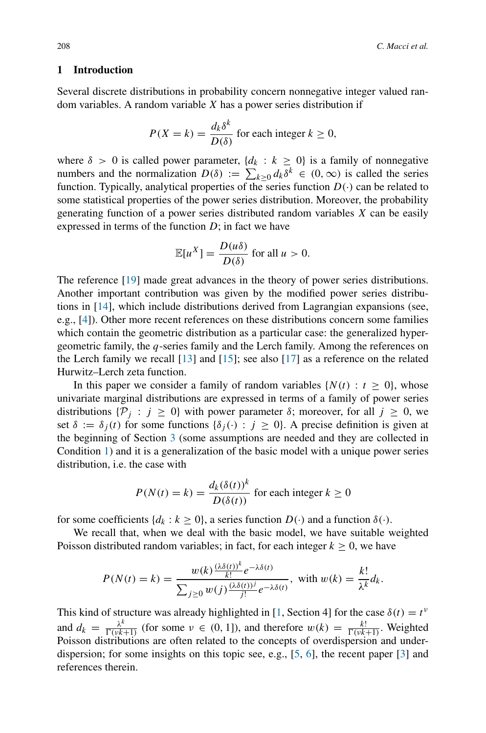# **1 Introduction**

Several discrete distributions in probability concern nonnegative integer valued random variables. A random variable *X* has a power series distribution if

$$
P(X = k) = \frac{d_k \delta^k}{D(\delta)}
$$
 for each integer  $k \ge 0$ ,

where  $\delta > 0$  is called power parameter,  $\{d_k : k \geq 0\}$  is a family of nonnegative numbers and the normalization  $D(\delta) := \sum_{k \geq 0} d_k \delta^k \in (0, \infty)$  is called the series function. Typically, analytical properties of the series function  $D(\cdot)$  can be related to some statistical properties of the power series distribution. Moreover, the probability generating function of a power series distributed random variables *X* can be easily expressed in terms of the function *D*; in fact we have

$$
\mathbb{E}[u^X] = \frac{D(u\delta)}{D(\delta)}
$$
 for all  $u > 0$ .

The reference [\[19\]](#page-21-0) made great advances in the theory of power series distributions. Another important contribution was given by the modified power series distributions in [\[14](#page-20-0)], which include distributions derived from Lagrangian expansions (see, e.g., [\[4\]](#page-20-1)). Other more recent references on these distributions concern some families which contain the geometric distribution as a particular case: the generalized hypergeometric family, the *q*-series family and the Lerch family. Among the references on the Lerch family we recall [\[13](#page-20-2)] and [\[15\]](#page-20-3); see also [\[17](#page-20-4)] as a reference on the related Hurwitz–Lerch zeta function.

In this paper we consider a family of random variables  $\{N(t): t \geq 0\}$ , whose univariate marginal distributions are expressed in terms of a family of power series distributions  $\{\mathcal{P}_i : j \geq 0\}$  with power parameter *δ*; moreover, for all  $j \geq 0$ , we set  $\delta := \delta_i(t)$  for some functions  $\{\delta_i(\cdot) : j \geq 0\}$ . A precise definition is given at the beginning of Section [3](#page-4-0) (some assumptions are needed and they are collected in Condition [1\)](#page-5-0) and it is a generalization of the basic model with a unique power series distribution, i.e. the case with

$$
P(N(t) = k) = \frac{d_k(\delta(t))^k}{D(\delta(t))}
$$
 for each integer  $k \ge 0$ 

for some coefficients  $\{d_k : k \geq 0\}$ , a series function  $D(\cdot)$  and a function  $\delta(\cdot)$ .

We recall that, when we deal with the basic model, we have suitable weighted Poisson distributed random variables; in fact, for each integer  $k \geq 0$ , we have

$$
P(N(t) = k) = \frac{w(k)\frac{(\lambda\delta(t))^k}{k!}e^{-\lambda\delta(t)}}{\sum_{j\geq 0}w(j)\frac{(\lambda\delta(t))^j}{j!}e^{-\lambda\delta(t)}}, \text{ with } w(k) = \frac{k!}{\lambda^k}d_k.
$$

This kind of structure was already highlighted in [\[1,](#page-20-5) Section 4] for the case  $\delta(t) = t^{\nu}$ and  $d_k = \frac{\lambda^k}{\Gamma(\nu k+1)}$  (for some  $\nu \in (0, 1]$ ), and therefore  $w(k) = \frac{k!}{\Gamma(\nu k+1)}$ . Weighted Poisson distributions are often related to the concepts of overdispersion and underdispersion; for some insights on this topic see, e.g., [\[5](#page-20-6), [6\]](#page-20-7), the recent paper [\[3](#page-20-8)] and references therein.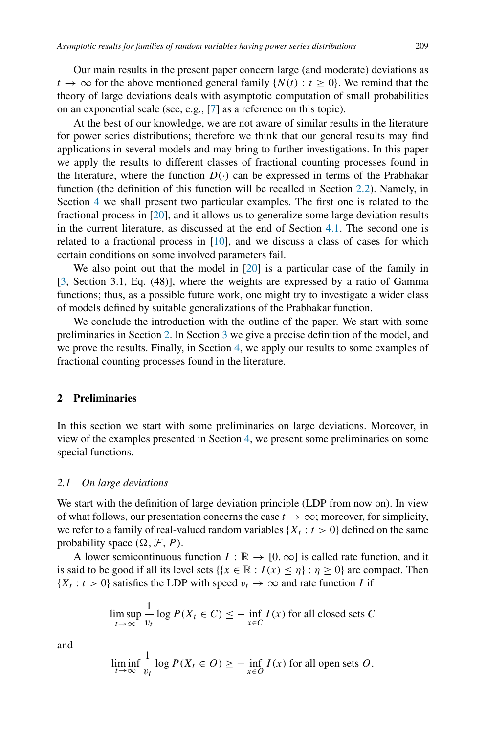Our main results in the present paper concern large (and moderate) deviations as  $t \to \infty$  for the above mentioned general family  $\{N(t): t \geq 0\}$ . We remind that the theory of large deviations deals with asymptotic computation of small probabilities on an exponential scale (see, e.g., [\[7](#page-20-9)] as a reference on this topic).

At the best of our knowledge, we are not aware of similar results in the literature for power series distributions; therefore we think that our general results may find applications in several models and may bring to further investigations. In this paper we apply the results to different classes of fractional counting processes found in the literature, where the function  $D(\cdot)$  can be expressed in terms of the Prabhakar function (the definition of this function will be recalled in Section [2.2\)](#page-3-0). Namely, in Section [4](#page-12-0) we shall present two particular examples. The first one is related to the fractional process in [\[20](#page-21-1)], and it allows us to generalize some large deviation results in the current literature, as discussed at the end of Section [4.1.](#page-12-1) The second one is related to a fractional process in  $[10]$ , and we discuss a class of cases for which certain conditions on some involved parameters fail.

We also point out that the model in [\[20\]](#page-21-1) is a particular case of the family in [\[3](#page-20-8), Section 3.1, Eq. (48)], where the weights are expressed by a ratio of Gamma functions; thus, as a possible future work, one might try to investigate a wider class of models defined by suitable generalizations of the Prabhakar function.

We conclude the introduction with the outline of the paper. We start with some preliminaries in Section [2.](#page-2-0) In Section [3](#page-4-0) we give a precise definition of the model, and we prove the results. Finally, in Section [4,](#page-12-0) we apply our results to some examples of fractional counting processes found in the literature.

## <span id="page-2-0"></span>**2 Preliminaries**

In this section we start with some preliminaries on large deviations. Moreover, in view of the examples presented in Section [4,](#page-12-0) we present some preliminaries on some special functions.

## *2.1 On large deviations*

1

We start with the definition of large deviation principle (LDP from now on). In view of what follows, our presentation concerns the case  $t \to \infty$ ; moreover, for simplicity, we refer to a family of real-valued random variables  $\{X_t : t > 0\}$  defined on the same probability space  $(\Omega, \mathcal{F}, P)$ .

A lower semicontinuous function  $I : \mathbb{R} \to [0, \infty]$  is called rate function, and it is said to be good if all its level sets  $\{x \in \mathbb{R} : I(x) \leq \eta\} : \eta \geq 0\}$  are compact. Then  ${X_t : t > 0}$  satisfies the LDP with speed  $v_t \rightarrow \infty$  and rate function *I* if

$$
\limsup_{t \to \infty} \frac{1}{v_t} \log P(X_t \in C) \le - \inf_{x \in C} I(x)
$$
 for all closed sets C

and

$$
\liminf_{t \to \infty} \frac{1}{v_t} \log P(X_t \in O) \ge - \inf_{x \in O} I(x)
$$
 for all open sets  $O$ .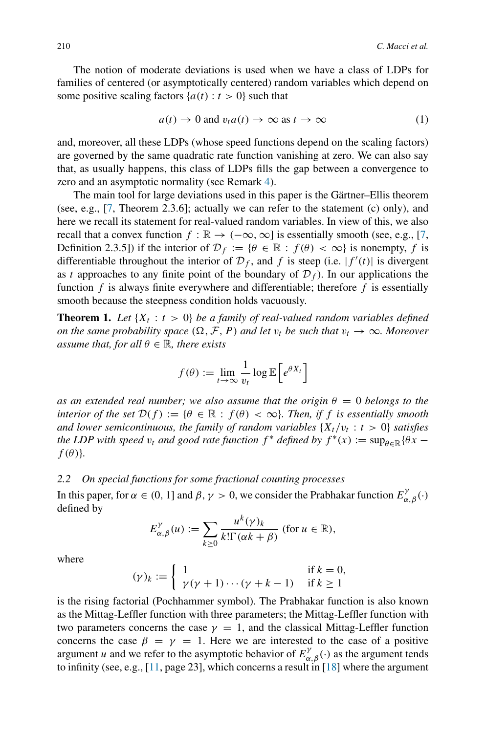The notion of moderate deviations is used when we have a class of LDPs for families of centered (or asymptotically centered) random variables which depend on some positive scaling factors  $\{a(t): t > 0\}$  such that

<span id="page-3-2"></span>
$$
a(t) \to 0 \text{ and } v_t a(t) \to \infty \text{ as } t \to \infty \tag{1}
$$

and, moreover, all these LDPs (whose speed functions depend on the scaling factors) are governed by the same quadratic rate function vanishing at zero. We can also say that, as usually happens, this class of LDPs fills the gap between a convergence to zero and an asymptotic normality (see Remark [4\)](#page-11-0).

The main tool for large deviations used in this paper is the Gärtner–Ellis theorem (see, e.g., [\[7](#page-20-9), Theorem 2.3.6]; actually we can refer to the statement (c) only), and here we recall its statement for real-valued random variables. In view of this, we also recall that a convex function  $f : \mathbb{R} \to (-\infty, \infty]$  is essentially smooth (see, e.g., [\[7,](#page-20-9) Definition 2.3.5]) if the interior of  $\mathcal{D}_f := \{ \theta \in \mathbb{R} : f(\theta) < \infty \}$  is nonempty, f is differentiable throughout the interior of  $\mathcal{D}_f$ , and *f* is steep (i.e.  $|f'(t)|$  is divergent as *t* approaches to any finite point of the boundary of  $\mathcal{D}_f$ ). In our applications the function *f* is always finite everywhere and differentiable; therefore *f* is essentially smooth because the steepness condition holds vacuously.

<span id="page-3-1"></span>**Theorem 1.** Let  $\{X_t : t > 0\}$  be a family of real-valued random variables defined *on the same probability space*  $(\Omega, \mathcal{F}, P)$  *and let*  $v_t$  *be such that*  $v_t \to \infty$ *. Moreover assume that, for all*  $\theta \in \mathbb{R}$ *, there exists* 

$$
f(\theta) := \lim_{t \to \infty} \frac{1}{v_t} \log \mathbb{E}\left[e^{\theta X_t}\right]
$$

*as an extended real number; we also assume that the origin*  $\theta = 0$  *belongs to the interior of the set*  $\mathcal{D}(f) := \{ \theta \in \mathbb{R} : f(\theta) < \infty \}$ *. Then, if f is essentially smooth and lower semicontinuous, the family of random variables*  $\{X_t/v_t : t > 0\}$  *satisfies the LDP with speed*  $v_t$  *and good rate function*  $f^*$  *defined by*  $f^*(x) := \sup_{\theta \in \mathbb{R}} {\theta x - \theta}$  $f(\theta)$ }.

## <span id="page-3-0"></span>*2.2 On special functions for some fractional counting processes*

In this paper, for  $\alpha \in (0, 1]$  and  $\beta, \gamma > 0$ , we consider the Prabhakar function  $E^{\gamma}_{\alpha, \beta}(\cdot)$ defined by

$$
E_{\alpha,\beta}^{\gamma}(u) := \sum_{k \geq 0} \frac{u^k(\gamma)_k}{k!\Gamma(\alpha k + \beta)} \text{ (for } u \in \mathbb{R}\text{),}
$$

where

$$
(\gamma)_k := \begin{cases} 1 & \text{if } k = 0, \\ \gamma(\gamma + 1) \cdots (\gamma + k - 1) & \text{if } k \ge 1 \end{cases}
$$

is the rising factorial (Pochhammer symbol). The Prabhakar function is also known as the Mittag-Leffler function with three parameters; the Mittag-Leffler function with two parameters concerns the case  $\gamma = 1$ , and the classical Mittag-Leffler function concerns the case  $\beta = \gamma = 1$ . Here we are interested to the case of a positive argument *u* and we refer to the asymptotic behavior of  $E^{\gamma}_{\alpha,\beta}(\cdot)$  as the argument tends to infinity (see, e.g.,  $[11, page 23]$  $[11, page 23]$ , which concerns a result in  $[18]$  where the argument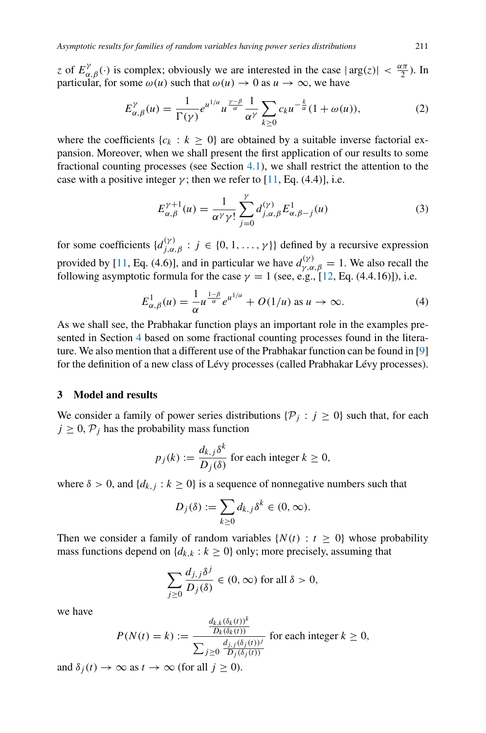*z* of  $E^{\gamma}_{\alpha,\beta}(\cdot)$  is complex; obviously we are interested in the case  $|\arg(z)| < \frac{\alpha \pi}{2}$ ). In particular, for some  $\omega(u)$  such that  $\omega(u) \to 0$  as  $u \to \infty$ , we have

<span id="page-4-1"></span>
$$
E_{\alpha,\beta}^{\gamma}(u) = \frac{1}{\Gamma(\gamma)} e^{u^{1/\alpha}} u^{\frac{\gamma-\beta}{\alpha}} \frac{1}{\alpha^{\gamma}} \sum_{k \ge 0} c_k u^{-\frac{k}{\alpha}} (1 + \omega(u)), \tag{2}
$$

where the coefficients  $\{c_k : k \geq 0\}$  are obtained by a suitable inverse factorial expansion. Moreover, when we shall present the first application of our results to some fractional counting processes (see Section [4.1\)](#page-12-1), we shall restrict the attention to the case with a positive integer  $\gamma$ ; then we refer to [\[11,](#page-20-11) Eq. (4.4)], i.e.

<span id="page-4-2"></span>
$$
E_{\alpha,\beta}^{\gamma+1}(u) = \frac{1}{\alpha^{\gamma}\gamma!} \sum_{j=0}^{\gamma} d_{j,\alpha,\beta}^{(\gamma)} E_{\alpha,\beta-j}^{1}(u)
$$
 (3)

for some coefficients  $\{d_{j,\alpha,\beta}^{(\gamma)} : j \in \{0,1,\ldots,\gamma\}\}\)$  defined by a recursive expression provided by [\[11,](#page-20-11) Eq. (4.6)], and in particular we have  $d_{\gamma,\alpha,\beta}^{(\gamma)} = 1$ . We also recall the following asymptotic formula for the case  $\gamma = 1$  (see, e.g., [\[12,](#page-20-12) Eq. (4.4.16)]), i.e.

<span id="page-4-3"></span>
$$
E_{\alpha,\beta}^1(u) = \frac{1}{\alpha} u^{\frac{1-\beta}{\alpha}} e^{u^{1/\alpha}} + O(1/u) \text{ as } u \to \infty.
$$
 (4)

As we shall see, the Prabhakar function plays an important role in the examples presented in Section [4](#page-12-0) based on some fractional counting processes found in the literature. We also mention that a different use of the Prabhakar function can be found in [\[9\]](#page-20-13) for the definition of a new class of Lévy processes (called Prabhakar Lévy processes).

# <span id="page-4-0"></span>**3 Model and results**

We consider a family of power series distributions  $\{\mathcal{P}_i : j \geq 0\}$  such that, for each  $j \geq 0$ ,  $\mathcal{P}_j$  has the probability mass function

$$
p_j(k) := \frac{d_{k,j}\delta^k}{D_j(\delta)}
$$
 for each integer  $k \ge 0$ ,

where  $\delta > 0$ , and  $\{d_{k,j} : k \geq 0\}$  is a sequence of nonnegative numbers such that

$$
D_j(\delta) := \sum_{k \ge 0} d_{k,j} \delta^k \in (0, \infty).
$$

Then we consider a family of random variables  $\{N(t) : t \geq 0\}$  whose probability mass functions depend on  $\{d_{k,k} : k \geq 0\}$  only; more precisely, assuming that

$$
\sum_{j\geq 0} \frac{d_{j,j}\delta^j}{D_j(\delta)} \in (0,\infty) \text{ for all } \delta > 0,
$$

we have

$$
P(N(t) = k) := \frac{\frac{d_{k,k}(\delta_k(t))^{k}}{D_k(\delta_k(t))}}{\sum_{j \ge 0} \frac{d_{j,j}(\delta_j(t))^{j}}{D_j(\delta_j(t))}}
$$
 for each integer  $k \ge 0$ ,

and  $\delta_i(t) \to \infty$  as  $t \to \infty$  (for all  $j \ge 0$ ).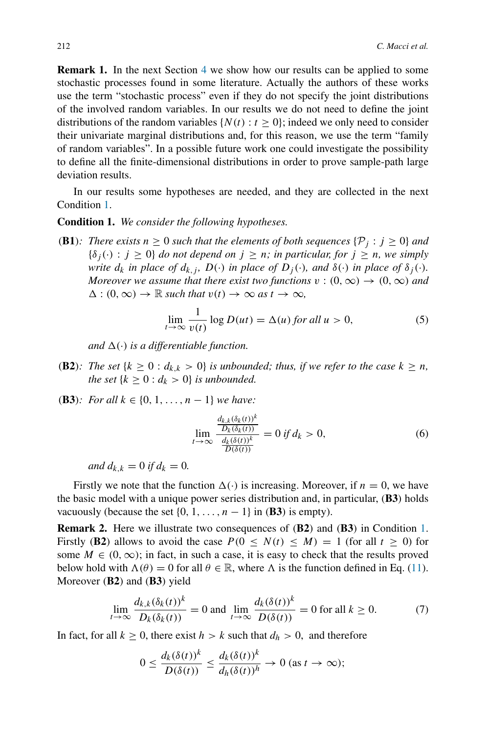**Remark 1.** In the next Section [4](#page-12-0) we show how our results can be applied to some stochastic processes found in some literature. Actually the authors of these works use the term "stochastic process" even if they do not specify the joint distributions of the involved random variables. In our results we do not need to define the joint distributions of the random variables  $\{N(t): t \geq 0\}$ ; indeed we only need to consider their univariate marginal distributions and, for this reason, we use the term "family of random variables". In a possible future work one could investigate the possibility to define all the finite-dimensional distributions in order to prove sample-path large deviation results.

In our results some hypotheses are needed, and they are collected in the next Condition [1.](#page-5-0)

#### <span id="page-5-0"></span>**Condition 1.** *We consider the following hypotheses.*

**(B1)***: There exists*  $n \geq 0$  *such that the elements of both sequences*  $\{\mathcal{P}_i : j \geq 0\}$  *and*  ${\delta_i(\cdot): j \geq 0}$  *do not depend on*  $j \geq n$ *; in particular, for*  $j \geq n$ *, we simply write*  $d_k$  *in place of*  $d_{k,i}$ *, D(·) in place of*  $D_i(\cdot)$ *, and*  $\delta(\cdot)$  *in place of*  $\delta_i(\cdot)$ *. Moreover we assume that there exist two functions*  $v : (0, \infty) \to (0, \infty)$  and  $\Delta$ :  $(0, \infty) \rightarrow \mathbb{R}$  *such that*  $v(t) \rightarrow \infty$  *as*  $t \rightarrow \infty$ *,* 

<span id="page-5-2"></span>
$$
\lim_{t \to \infty} \frac{1}{v(t)} \log D(ut) = \Delta(u) \text{ for all } u > 0,
$$
\n(5)

*and*  $\Delta(\cdot)$  *is a differentiable function.* 

- **(B2)***:* The set  $\{k \geq 0 : d_{k,k} > 0\}$  is unbounded; thus, if we refer to the case  $k \geq n$ , *the set*  $\{k \geq 0 : d_k > 0\}$  *is unbounded.*
- *(***B3***): For all k* ∈ {0*,* 1*,...,n* − 1} *we have:*

<span id="page-5-3"></span>
$$
\lim_{t \to \infty} \frac{\frac{d_{k,k}(\delta_k(t))^k}{D_k(\delta_k(t))^k}}{\frac{d_k(\delta(t))^k}{D(\delta(t))}} = 0 \text{ if } d_k > 0,
$$
\n(6)

*and*  $d_{k,k} = 0$  *if*  $d_k = 0$ *.* 

Firstly we note that the function  $\Delta(\cdot)$  is increasing. Moreover, if  $n = 0$ , we have the basic model with a unique power series distribution and, in particular, *(***B3***)* holds vacuously (because the set  $\{0, 1, \ldots, n-1\}$  in **(B3**) is empty).

<span id="page-5-4"></span>**Remark 2.** Here we illustrate two consequences of *(***B2***)* and *(***B3***)* in Condition [1.](#page-5-0) Firstly (B2) allows to avoid the case  $P(0 \leq N(t) \leq M) = 1$  (for all  $t \geq 0$ ) for some  $M \in (0, \infty)$ ; in fact, in such a case, it is easy to check that the results proved below hold with  $\Lambda(\theta) = 0$  for all  $\theta \in \mathbb{R}$ , where  $\Lambda$  is the function defined in Eq. [\(11\)](#page-6-0). Moreover *(***B2***)* and *(***B3***)* yield

<span id="page-5-1"></span>
$$
\lim_{t \to \infty} \frac{d_{k,k}(\delta_k(t))^k}{D_k(\delta_k(t))} = 0 \text{ and } \lim_{t \to \infty} \frac{d_k(\delta(t))^k}{D(\delta(t))} = 0 \text{ for all } k \ge 0.
$$
 (7)

In fact, for all  $k \geq 0$ , there exist  $h > k$  such that  $d_h > 0$ , and therefore

$$
0 \le \frac{d_k(\delta(t))^k}{D(\delta(t))} \le \frac{d_k(\delta(t))^k}{d_h(\delta(t))^h} \to 0 \text{ (as } t \to \infty);
$$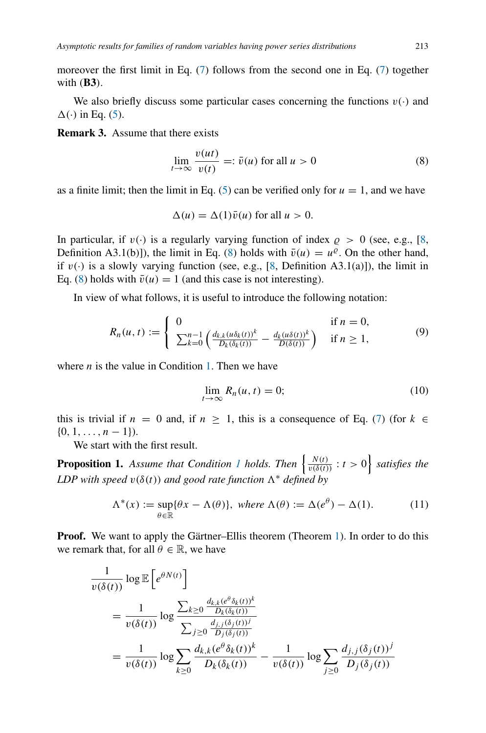moreover the first limit in Eq. [\(7\)](#page-5-1) follows from the second one in Eq. [\(7\)](#page-5-1) together with *(***B3***)*.

We also briefly discuss some particular cases concerning the functions  $v(\cdot)$  and  $\Delta(\cdot)$  in Eq. [\(5\)](#page-5-2).

<span id="page-6-5"></span>**Remark 3.** Assume that there exists

<span id="page-6-1"></span>
$$
\lim_{t \to \infty} \frac{v(ut)}{v(t)} =: \bar{v}(u) \text{ for all } u > 0
$$
\n(8)

as a finite limit; then the limit in Eq. [\(5\)](#page-5-2) can be verified only for  $u = 1$ , and we have

$$
\Delta(u) = \Delta(1)\bar{v}(u) \text{ for all } u > 0.
$$

In particular, if  $v(\cdot)$  is a regularly varying function of index  $\rho > 0$  (see, e.g., [\[8,](#page-20-14) Definition A3.1(b)]), the limit in Eq. [\(8\)](#page-6-1) holds with  $\bar{v}(u) = u^{\rho}$ . On the other hand, if  $v(\cdot)$  is a slowly varying function (see, e.g., [\[8,](#page-20-14) Definition A3.1(a)]), the limit in Eq. [\(8\)](#page-6-1) holds with  $\bar{v}(u) = 1$  (and this case is not interesting).

In view of what follows, it is useful to introduce the following notation:

<span id="page-6-2"></span>
$$
R_n(u,t) := \begin{cases} 0 & \text{if } n = 0, \\ \sum_{k=0}^{n-1} \left( \frac{d_{k,k}(u\delta_k(t))^{k}}{D_k(\delta_k(t))} - \frac{d_k(u\delta(t))^{k}}{D(\delta(t))} \right) & \text{if } n \ge 1, \end{cases}
$$
(9)

where  $n$  is the value in Condition [1.](#page-5-0) Then we have

<span id="page-6-4"></span>
$$
\lim_{t \to \infty} R_n(u, t) = 0; \tag{10}
$$

this is trivial if  $n = 0$  and, if  $n \ge 1$ , this is a consequence of Eq. [\(7\)](#page-5-1) (for  $k \in$  $\{0, 1, \ldots, n-1\}.$ 

We start with the first result.

<span id="page-6-3"></span>**Proposition [1](#page-5-0).** *Assume that Condition 1 holds. Then*  $\left\{ \frac{N(t)}{v(\delta(t))}: t > 0 \right\}$  *satisfies the LDP with speed*  $v(\delta(t))$  *and good rate function*  $\Lambda^*$  *defined by* 

<span id="page-6-0"></span>
$$
\Lambda^*(x) := \sup_{\theta \in \mathbb{R}} \{ \theta x - \Lambda(\theta) \}, \text{ where } \Lambda(\theta) := \Delta(e^{\theta}) - \Delta(1). \tag{11}
$$

**Proof.** We want to apply the Gärtner–Ellis theorem (Theorem [1\)](#page-3-1). In order to do this we remark that, for all  $\theta \in \mathbb{R}$ , we have

$$
\frac{1}{v(\delta(t))} \log \mathbb{E}\left[e^{\theta N(t)}\right]
$$
\n
$$
= \frac{1}{v(\delta(t))} \log \frac{\sum_{k\geq 0} \frac{d_{k,k}(e^{\theta}\delta_k(t))^{k}}{D_k(\delta_k(t))}}{\sum_{j\geq 0} \frac{d_{j,j}(\delta_j(t))^{j}}{D_j(\delta_j(t))}}
$$
\n
$$
= \frac{1}{v(\delta(t))} \log \sum_{k\geq 0} \frac{d_{k,k}(e^{\theta}\delta_k(t))^{k}}{D_k(\delta_k(t))} - \frac{1}{v(\delta(t))} \log \sum_{j\geq 0} \frac{d_{j,j}(\delta_j(t))^{j}}{D_j(\delta_j(t))}
$$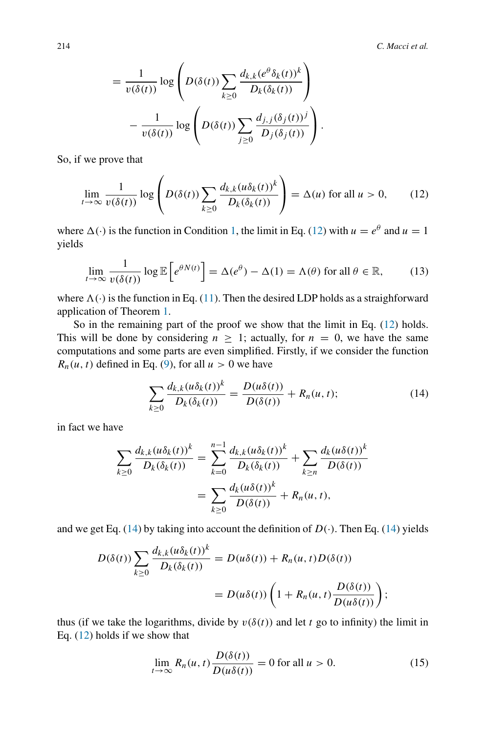$$
= \frac{1}{v(\delta(t))} \log \left( D(\delta(t)) \sum_{k \ge 0} \frac{d_{k,k}(e^{\theta} \delta_k(t))^k}{D_k(\delta_k(t))} \right) - \frac{1}{v(\delta(t))} \log \left( D(\delta(t)) \sum_{j \ge 0} \frac{d_{j,j}(\delta_j(t))^j}{D_j(\delta_j(t))} \right).
$$

So, if we prove that

<span id="page-7-0"></span>
$$
\lim_{t \to \infty} \frac{1}{v(\delta(t))} \log \left( D(\delta(t)) \sum_{k \ge 0} \frac{d_{k,k}(u \delta_k(t))^k}{D_k(\delta_k(t))} \right) = \Delta(u) \text{ for all } u > 0,
$$
 (12)

where  $\Delta(\cdot)$  is the function in Condition [1,](#page-5-0) the limit in Eq. [\(12\)](#page-7-0) with  $u = e^{\theta}$  and  $u = 1$ yields

<span id="page-7-3"></span>
$$
\lim_{t \to \infty} \frac{1}{v(\delta(t))} \log \mathbb{E}\left[e^{\theta N(t)}\right] = \Delta(e^{\theta}) - \Delta(1) = \Lambda(\theta) \text{ for all } \theta \in \mathbb{R},\tag{13}
$$

where  $\Lambda(\cdot)$  is the function in Eq. [\(11\)](#page-6-0). Then the desired LDP holds as a straighforward application of Theorem [1.](#page-3-1)

So in the remaining part of the proof we show that the limit in Eq. [\(12\)](#page-7-0) holds. This will be done by considering  $n \geq 1$ ; actually, for  $n = 0$ , we have the same computations and some parts are even simplified. Firstly, if we consider the function  $R_n(u, t)$  defined in Eq. [\(9\)](#page-6-2), for all  $u > 0$  we have

<span id="page-7-1"></span>
$$
\sum_{k\geq 0} \frac{d_{k,k}(u\delta_k(t))^k}{D_k(\delta_k(t))} = \frac{D(u\delta(t))}{D(\delta(t))} + R_n(u,t); \tag{14}
$$

in fact we have

$$
\sum_{k\geq 0} \frac{d_{k,k}(u\delta_k(t))^k}{D_k(\delta_k(t))} = \sum_{k=0}^{n-1} \frac{d_{k,k}(u\delta_k(t))^k}{D_k(\delta_k(t))} + \sum_{k\geq n} \frac{d_k(u\delta(t))^k}{D(\delta(t))}
$$

$$
= \sum_{k\geq 0} \frac{d_k(u\delta(t))^k}{D(\delta(t))} + R_n(u,t),
$$

and we get Eq. [\(14\)](#page-7-1) by taking into account the definition of  $D(\cdot)$ . Then Eq. (14) yields

$$
D(\delta(t)) \sum_{k \ge 0} \frac{d_{k,k}(u\delta_k(t))^k}{D_k(\delta_k(t))} = D(u\delta(t)) + R_n(u,t)D(\delta(t))
$$
  
= 
$$
D(u\delta(t)) \left(1 + R_n(u,t) \frac{D(\delta(t))}{D(u\delta(t))}\right);
$$

thus (if we take the logarithms, divide by  $v(\delta(t))$  and let *t* go to infinity) the limit in Eq. [\(12\)](#page-7-0) holds if we show that

<span id="page-7-2"></span>
$$
\lim_{t \to \infty} R_n(u, t) \frac{D(\delta(t))}{D(u\delta(t))} = 0 \text{ for all } u > 0.
$$
 (15)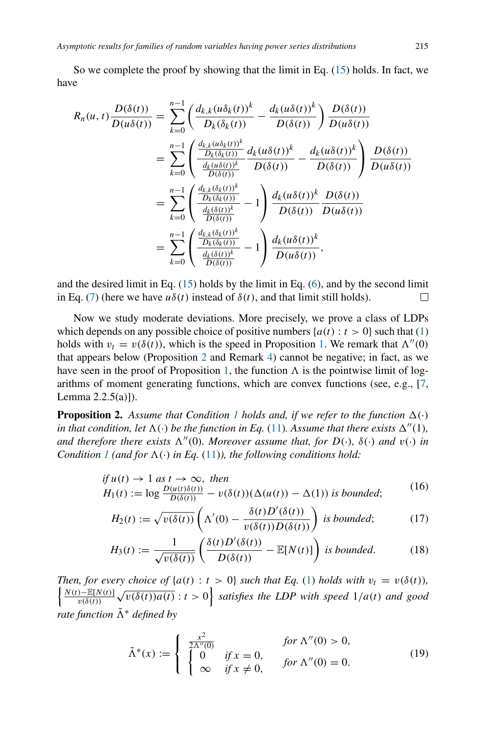So we complete the proof by showing that the limit in Eq. [\(15\)](#page-7-2) holds. In fact, we have

$$
R_n(u, t) \frac{D(\delta(t))}{D(u\delta(t))} = \sum_{k=0}^{n-1} \left( \frac{d_{k,k}(u\delta_k(t))^k}{D_k(\delta_k(t))} - \frac{d_k(u\delta(t))^k}{D(\delta(t))} \right) \frac{D(\delta(t))}{D(u\delta(t))}
$$
  

$$
= \sum_{k=0}^{n-1} \left( \frac{\frac{d_{k,k}(u\delta_k(t))^k}{D_k(\delta_k(t))}}{\frac{d_k(u\delta(t))^k}{D(\delta(t))}} \frac{d_k(u\delta(t))^k}{D(\delta(t))} - \frac{d_k(u\delta(t))^k}{D(\delta(t))} \right) \frac{D(\delta(t))}{D(u\delta(t))}
$$
  

$$
= \sum_{k=0}^{n-1} \left( \frac{\frac{d_{k,k}(\delta_k(t))^k}{D_k(\delta_k(t))}}{\frac{d_k(\delta(t))^k}{D(\delta(t))}} - 1 \right) \frac{d_k(u\delta(t))^k}{D(u\delta(t))} \frac{D(\delta(t))}{D(u\delta(t))}
$$
  

$$
= \sum_{k=0}^{n-1} \left( \frac{\frac{d_{k,k}(\delta_k(t))^k}{D_k(\delta_k(t))}}{\frac{d_k(\delta(t))^k}{D(\delta(t))}} - 1 \right) \frac{d_k(u\delta(t))^k}{D(u\delta(t))},
$$

and the desired limit in Eq.  $(15)$  holds by the limit in Eq.  $(6)$ , and by the second limit in Eq. [\(7\)](#page-5-1) (here we have  $u\delta(t)$  instead of  $\delta(t)$ , and that limit still holds). □

Now we study moderate deviations. More precisely, we prove a class of LDPs which depends on any possible choice of positive numbers  $\{a(t): t > 0\}$  such that [\(1\)](#page-3-2) holds with  $v_t = v(\delta(t))$ , which is the speed in Proposition [1.](#page-6-3) We remark that  $\Lambda''(0)$ that appears below (Proposition [2](#page-8-0) and Remark [4\)](#page-11-0) cannot be negative; in fact, as we have seen in the proof of Proposition [1,](#page-6-3) the function  $\Lambda$  is the pointwise limit of logarithms of moment generating functions, which are convex functions (see, e.g., [\[7,](#page-20-9) Lemma  $2.2.5(a)$ ]).

<span id="page-8-0"></span>**Proposition 2.** Assume that Condition [1](#page-5-0) holds and, if we refer to the function  $\Delta(\cdot)$ *in that condition, let*  $\Lambda(\cdot)$  *be the function in Eq.* [\(11\)](#page-6-0)*. Assume that there exists*  $\Delta''(1)$ *, and therefore there exists*  $\Lambda''(0)$ *. Moreover assume that, for*  $D(\cdot)$ *,*  $\delta(\cdot)$  *and*  $v(\cdot)$  *in Condition [1](#page-5-0) (and for*  $\Lambda(\cdot)$  *in Eq.* [\(11\)](#page-6-0)*), the following conditions hold:* 

if 
$$
u(t) \to 1
$$
 as  $t \to \infty$ , then  
\n
$$
H_1(t) := \log \frac{D(u(t)\delta(t))}{D(\delta(t))} - v(\delta(t))(\Delta(u(t)) - \Delta(1))
$$
 is bounded; (16)

<span id="page-8-2"></span><span id="page-8-1"></span>
$$
H_2(t) := \sqrt{v(\delta(t))} \left( \Lambda'(0) - \frac{\delta(t) D'(\delta(t))}{v(\delta(t)) D(\delta(t))} \right) \text{ is bounded;}
$$
 (17)

$$
H_3(t) := \frac{1}{\sqrt{v(\delta(t))}} \left( \frac{\delta(t) D'(\delta(t))}{D(\delta(t))} - \mathbb{E}[N(t)] \right) \text{ is bounded.}
$$
 (18)

*Then, for every choice of*  $\{a(t): t > 0\}$  *such that Eq.* [\(1\)](#page-3-2) *holds with*  $v_t = v(\delta(t))$ *, N (t)*−E[*N (t)*]  $\frac{\partial \mathcal{L}(X(t))}{\partial v(\delta(t))} \sqrt{v(\delta(t))a(t)}$ :  $t > 0$  satisfies the LDP with speed  $1/a(t)$  and good *rate function*  $\tilde{\Lambda}^*$  *defined by* 

<span id="page-8-3"></span>
$$
\tilde{\Lambda}^*(x) := \begin{cases}\n\frac{x^2}{2\Lambda''(0)} & \text{for } \Lambda''(0) > 0, \\
\begin{cases}\n0 & \text{if } x = 0, \\
\infty & \text{if } x \neq 0,\n\end{cases} & \text{for } \Lambda''(0) = 0.\n\end{cases}
$$
\n(19)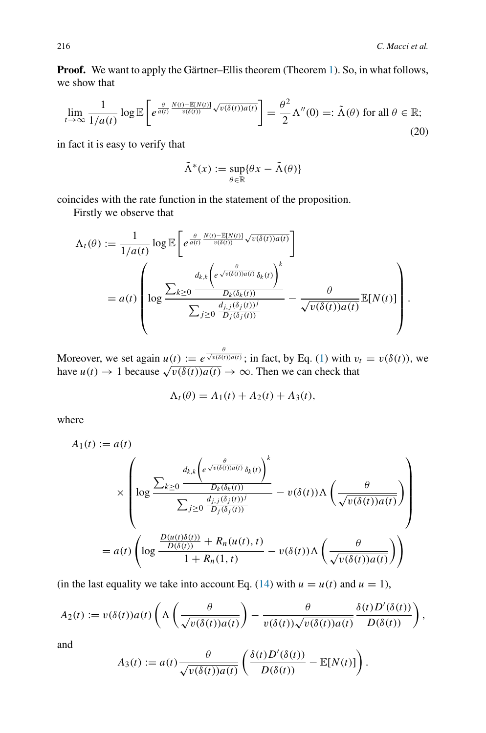**Proof.** We want to apply the Gärtner–Ellis theorem (Theorem [1\)](#page-3-1). So, in what follows, we show that

<span id="page-9-0"></span>
$$
\lim_{t \to \infty} \frac{1}{1/a(t)} \log \mathbb{E}\left[e^{\frac{\theta}{a(t)} \frac{N(t) - \mathbb{E}[N(t)]}{v(\delta(t))}\sqrt{v(\delta(t))a(t)}}\right] = \frac{\theta^2}{2} \Lambda''(0) =: \tilde{\Lambda}(\theta) \text{ for all } \theta \in \mathbb{R};\tag{20}
$$

in fact it is easy to verify that

$$
\tilde{\Lambda}^*(x) := \sup_{\theta \in \mathbb{R}} \{ \theta x - \tilde{\Lambda}(\theta) \}
$$

coincides with the rate function in the statement of the proposition.

Firstly we observe that

$$
\Lambda_t(\theta) := \frac{1}{1/a(t)} \log \mathbb{E}\left[e^{\frac{\theta}{a(t)} \frac{N(t) - \mathbb{E}[N(t)]}{\nu(\delta(t))} \sqrt{\nu(\delta(t))a(t)}}\right]
$$
  
=  $a(t) \left(\log \frac{\sum_{k\geq 0} \frac{d_{k,k}\left(e^{\frac{\theta}{\sqrt{\nu(\delta(t))a(t)}}\delta_k(t)}\right)^k}{D_k(\delta_k(t))}}{\sum_{j\geq 0} \frac{d_{j,j}(\delta_j(t))^j}{D_j(\delta_j(t))}} - \frac{\theta}{\sqrt{\nu(\delta(t))a(t)}} \mathbb{E}[N(t)]\right).$ 

Moreover, we set again  $u(t) := e^{\frac{\theta}{\sqrt{v(\delta(t))a(t)}}}$ ; in fact, by Eq. [\(1\)](#page-3-2) with  $v_t = v(\delta(t))$ , we have  $u(t) \to 1$  because  $\sqrt{v(\delta(t))a(t)} \to \infty$ . Then we can check that

$$
\Lambda_t(\theta) = A_1(t) + A_2(t) + A_3(t),
$$

where

$$
A_1(t) := a(t)
$$
  
\n
$$
\times \left( \log \frac{\sum_{k \geq 0} \frac{d_{k,k} \left( e^{\frac{\theta}{\sqrt{v(\delta(t))a(t)}}} \delta_k(t) \right)^k}{D_k(\delta_k(t))}}{\sum_{j \geq 0} \frac{d_{j,j}(\delta_j(t))^j}{D_j(\delta_j(t))}} - v(\delta(t)) \Lambda \left( \frac{\theta}{\sqrt{v(\delta(t))a(t)}} \right) \right)
$$
  
\n
$$
= a(t) \left( \log \frac{\frac{D(u(t)\delta(t))}{D(\delta(t))} + R_n(u(t), t)}{1 + R_n(1, t)} - v(\delta(t)) \Lambda \left( \frac{\theta}{\sqrt{v(\delta(t))a(t)}} \right) \right)
$$

(in the last equality we take into account Eq. [\(14\)](#page-7-1) with  $u = u(t)$  and  $u = 1$ ),

$$
A_2(t) := v(\delta(t))a(t)\left(\Lambda\left(\frac{\theta}{\sqrt{v(\delta(t))a(t)}}\right) - \frac{\theta}{v(\delta(t))\sqrt{v(\delta(t))a(t)}}\frac{\delta(t)D'(\delta(t))}{D(\delta(t))}\right),\,
$$

and

$$
A_3(t) := a(t) \frac{\theta}{\sqrt{v(\delta(t))a(t)}} \left( \frac{\delta(t)D'(\delta(t))}{D(\delta(t))} - \mathbb{E}[N(t)] \right).
$$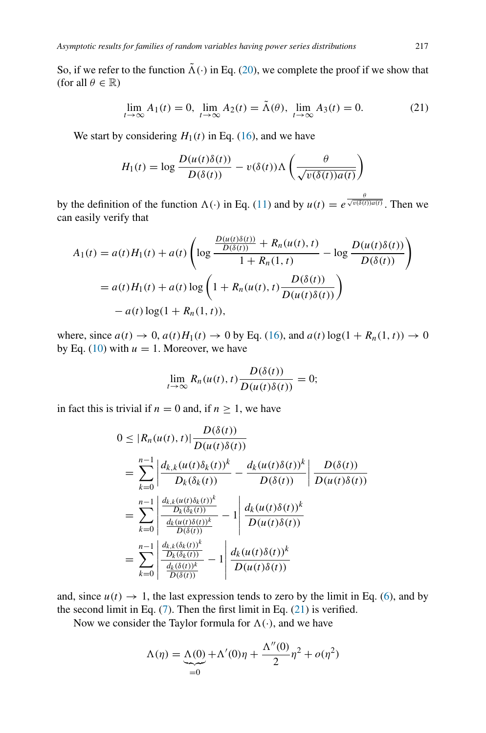So, if we refer to the function  $\tilde{\Lambda}(\cdot)$  in Eq. [\(20\)](#page-9-0), we complete the proof if we show that (for all  $\theta \in \mathbb{R}$ )

<span id="page-10-0"></span>
$$
\lim_{t \to \infty} A_1(t) = 0, \lim_{t \to \infty} A_2(t) = \tilde{\Lambda}(\theta), \lim_{t \to \infty} A_3(t) = 0.
$$
 (21)

We start by considering  $H_1(t)$  in Eq. [\(16\)](#page-8-1), and we have

$$
H_1(t) = \log \frac{D(u(t)\delta(t))}{D(\delta(t))} - v(\delta(t))\Lambda\left(\frac{\theta}{\sqrt{v(\delta(t))a(t)}}\right)
$$

by the definition of the function  $\Lambda(\cdot)$  in Eq. [\(11\)](#page-6-0) and by  $u(t) = e^{\frac{\theta}{\sqrt{v(\delta(t))a(t)}}}$ . Then we can easily verify that

$$
A_1(t) = a(t)H_1(t) + a(t) \left( \log \frac{\frac{D(u(t)\delta(t))}{D(\delta(t))} + R_n(u(t), t)}{1 + R_n(1, t)} - \log \frac{D(u(t)\delta(t))}{D(\delta(t))} \right)
$$
  
=  $a(t)H_1(t) + a(t) \log \left( 1 + R_n(u(t), t) \frac{D(\delta(t))}{D(u(t)\delta(t))} \right)$   
-  $a(t) \log(1 + R_n(1, t)),$ 

where, since  $a(t) \rightarrow 0$ ,  $a(t)H_1(t) \rightarrow 0$  by Eq. [\(16\)](#page-8-1), and  $a(t) \log(1 + R_n(1, t)) \rightarrow 0$ by Eq. [\(10\)](#page-6-4) with  $u = 1$ . Moreover, we have

$$
\lim_{t \to \infty} R_n(u(t), t) \frac{D(\delta(t))}{D(u(t)\delta(t))} = 0;
$$

in fact this is trivial if  $n = 0$  and, if  $n \ge 1$ , we have

$$
0 \leq |R_n(u(t), t)| \frac{D(\delta(t))}{D(u(t)\delta(t))}
$$
  
\n
$$
= \sum_{k=0}^{n-1} \left| \frac{d_{k,k}(u(t)\delta_k(t))^k}{D_k(\delta_k(t))} - \frac{d_k(u(t)\delta(t))^k}{D(\delta(t))} \right| \frac{D(\delta(t))}{D(u(t)\delta(t))}
$$
  
\n
$$
= \sum_{k=0}^{n-1} \left| \frac{\frac{d_{k,k}(u(t)\delta_k(t))^k}{D_k(\delta_k(t))}}{\frac{d_k(u(t)\delta(t))^k}{D(\delta(t))}} - 1 \right| \frac{d_k(u(t)\delta(t))^k}{D(u(t)\delta(t))}
$$
  
\n
$$
= \sum_{k=0}^{n-1} \left| \frac{\frac{d_{k,k}(\delta_k(t))^k}{D_k(\delta_k(t))}}{\frac{d_k(\delta(t))^k}{D(\delta(t))}} - 1 \right| \frac{d_k(u(t)\delta(t))^k}{D(u(t)\delta(t))}
$$

and, since  $u(t) \rightarrow 1$ , the last expression tends to zero by the limit in Eq. [\(6\)](#page-5-3), and by the second limit in Eq.  $(7)$ . Then the first limit in Eq.  $(21)$  is verified.

Now we consider the Taylor formula for  $\Lambda(\cdot)$ , and we have

$$
\Lambda(\eta) = \underbrace{\Lambda(0)}_{=0} + \Lambda'(0)\eta + \frac{\Lambda''(0)}{2}\eta^2 + o(\eta^2)
$$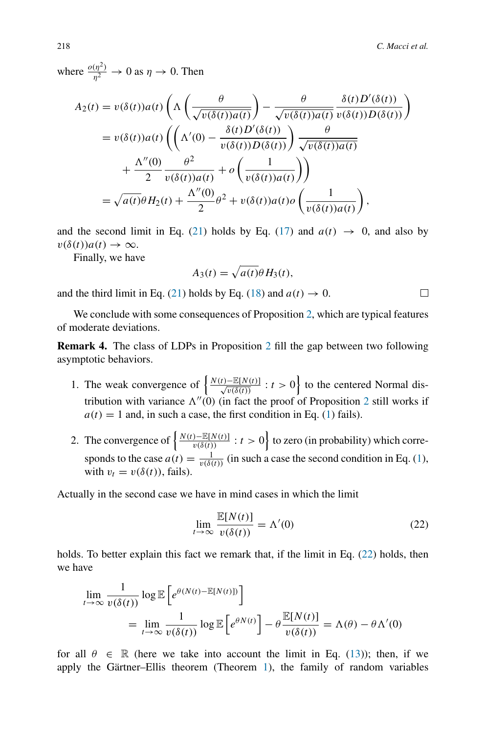where  $\frac{o(\eta^2)}{\eta^2} \to 0$  as  $\eta \to 0$ . Then

$$
A_2(t) = v(\delta(t))a(t)\left(\Lambda\left(\frac{\theta}{\sqrt{v(\delta(t))a(t)}}\right) - \frac{\theta}{\sqrt{v(\delta(t))a(t)}}\frac{\delta(t)D'(\delta(t))}{v(\delta(t))D(\delta(t))}\right)
$$
  

$$
= v(\delta(t))a(t)\left(\left(\Lambda'(0) - \frac{\delta(t)D'(\delta(t))}{v(\delta(t))D(\delta(t))}\right)\frac{\theta}{\sqrt{v(\delta(t))a(t)}} + \frac{\Lambda''(0)}{2}\frac{\theta^2}{v(\delta(t))a(t)} + o\left(\frac{1}{v(\delta(t))a(t)}\right)\right)
$$
  

$$
= \sqrt{a(t)}\theta H_2(t) + \frac{\Lambda''(0)}{2}\theta^2 + v(\delta(t))a(t)o\left(\frac{1}{v(\delta(t))a(t)}\right),
$$

and the second limit in Eq. [\(21\)](#page-10-0) holds by Eq. [\(17\)](#page-8-2) and  $a(t) \rightarrow 0$ , and also by  $v(\delta(t))a(t) \rightarrow \infty$ .

Finally, we have

$$
A_3(t) = \sqrt{a(t)} \theta H_3(t),
$$

and the third limit in Eq. [\(21\)](#page-10-0) holds by Eq. [\(18\)](#page-8-3) and  $a(t) \rightarrow 0$ .

We conclude with some consequences of Proposition [2,](#page-8-0) which are typical features of moderate deviations.

<span id="page-11-0"></span>**Remark 4.** The class of LDPs in Proposition [2](#page-8-0) fill the gap between two following asymptotic behaviors.

- 1. The weak convergence of  $\left\{ \frac{N(t)-\mathbb{E}[N(t)]}{\sqrt{v(\delta(t))}} : t > 0 \right\}$  to the centered Normal distribution with variance  $\Lambda''(0)$  (in fact the proof of Proposition [2](#page-8-0) still works if  $a(t) = 1$  and, in such a case, the first condition in Eq. [\(1\)](#page-3-2) fails).
- 2. The convergence of  $\left\{ \frac{N(t)-\mathbb{E}[N(t)]}{v(\delta(t))}:t>0\right\}$  to zero (in probability) which corresponds to the case  $a(t) = \frac{1}{v(\delta(t))}$  (in such a case the second condition in Eq. [\(1\)](#page-3-2), with  $v_t = v(\delta(t))$ , fails).

Actually in the second case we have in mind cases in which the limit

<span id="page-11-1"></span>
$$
\lim_{t \to \infty} \frac{\mathbb{E}[N(t)]}{v(\delta(t))} = \Lambda'(0)
$$
\n(22)

holds. To better explain this fact we remark that, if the limit in Eq. [\(22\)](#page-11-1) holds, then we have

$$
\lim_{t \to \infty} \frac{1}{v(\delta(t))} \log \mathbb{E}\left[e^{\theta(N(t) - \mathbb{E}[N(t)])}\right]
$$
\n
$$
= \lim_{t \to \infty} \frac{1}{v(\delta(t))} \log \mathbb{E}\left[e^{\theta N(t)}\right] - \theta \frac{\mathbb{E}[N(t)]}{v(\delta(t))} = \Lambda(\theta) - \theta \Lambda'(0)
$$

for all  $\theta \in \mathbb{R}$  (here we take into account the limit in Eq. [\(13\)](#page-7-3)); then, if we apply the Gärtner–Ellis theorem (Theorem [1\)](#page-3-1), the family of random variables

□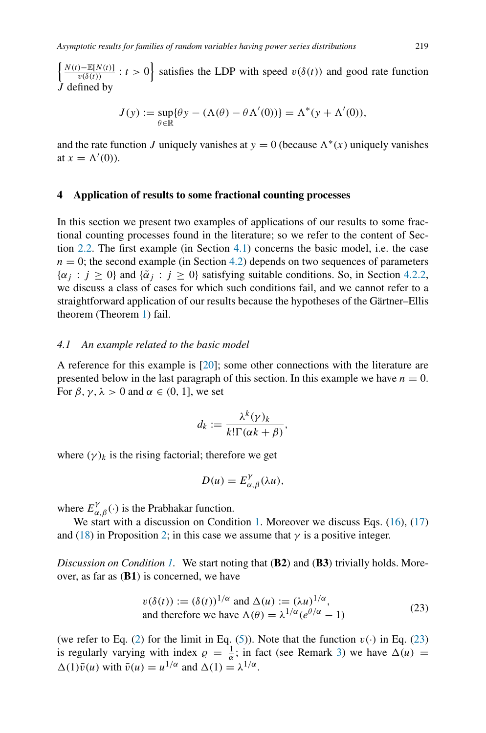$\left\{\frac{N(t)-\mathbb{E}[N(t)]}{v(\delta(t))}:t>0\right\}$  satisfies the LDP with speed  $v(\delta(t))$  and good rate function *J* defined by

$$
J(y) := \sup_{\theta \in \mathbb{R}} \{ \theta y - (\Lambda(\theta) - \theta \Lambda'(0)) \} = \Lambda^*(y + \Lambda'(0)),
$$

and the rate function *J* uniquely vanishes at  $y = 0$  (because  $\Lambda^*(x)$  uniquely vanishes at  $x = \Lambda'(0)$ ).

## <span id="page-12-0"></span>**4 Application of results to some fractional counting processes**

In this section we present two examples of applications of our results to some fractional counting processes found in the literature; so we refer to the content of Section [2.2.](#page-3-0) The first example (in Section [4.1\)](#page-12-1) concerns the basic model, i.e. the case  $n = 0$ ; the second example (in Section [4.2\)](#page-14-0) depends on two sequences of parameters  $\{\alpha_i : j \geq 0\}$  and  $\{\tilde{\alpha}_i : j \geq 0\}$  satisfying suitable conditions. So, in Section [4.2.2,](#page-17-0) we discuss a class of cases for which such conditions fail, and we cannot refer to a straightforward application of our results because the hypotheses of the Gärtner–Ellis theorem (Theorem [1\)](#page-3-1) fail.

## <span id="page-12-1"></span>*4.1 An example related to the basic model*

A reference for this example is [\[20](#page-21-1)]; some other connections with the literature are presented below in the last paragraph of this section. In this example we have  $n = 0$ . For  $\beta$ ,  $\gamma$ ,  $\lambda > 0$  and  $\alpha \in (0, 1]$ , we set

$$
d_k := \frac{\lambda^k(\gamma)_k}{k!\Gamma(\alpha k + \beta)},
$$

where  $(\gamma)_k$  is the rising factorial; therefore we get

$$
D(u) = E_{\alpha,\beta}^{\gamma}(\lambda u),
$$

where  $E^{\gamma}_{\alpha,\beta}(\cdot)$  is the Prabhakar function.

We start with a discussion on Condition [1.](#page-5-0) Moreover we discuss Eqs. [\(16\)](#page-8-1), [\(17\)](#page-8-2) and [\(18\)](#page-8-3) in Proposition [2;](#page-8-0) in this case we assume that  $\gamma$  is a positive integer.

*Discussion on Condition [1.](#page-5-0)* We start noting that *(***B2***)* and *(***B3***)* trivially holds. Moreover, as far as *(***B1***)* is concerned, we have

<span id="page-12-2"></span>
$$
v(\delta(t)) := (\delta(t))^{1/\alpha} \text{ and } \Delta(u) := (\lambda u)^{1/\alpha},
$$
  
and therefore we have 
$$
\Lambda(\theta) = \lambda^{1/\alpha} (e^{\theta/\alpha} - 1)
$$
 (23)

(we refer to Eq. [\(2\)](#page-4-1) for the limit in Eq. [\(5\)](#page-5-2)). Note that the function  $v(\cdot)$  in Eq. [\(23\)](#page-12-2) is regularly varying with index  $\rho = \frac{1}{\alpha}$ ; in fact (see Remark [3\)](#page-6-5) we have  $\Delta(u)$  =  $(\Delta(1)\bar{v}(u))$  with  $\bar{v}(u) = u^{1/\alpha}$  and  $(\Delta(1)) = \lambda^{1/\alpha}$ .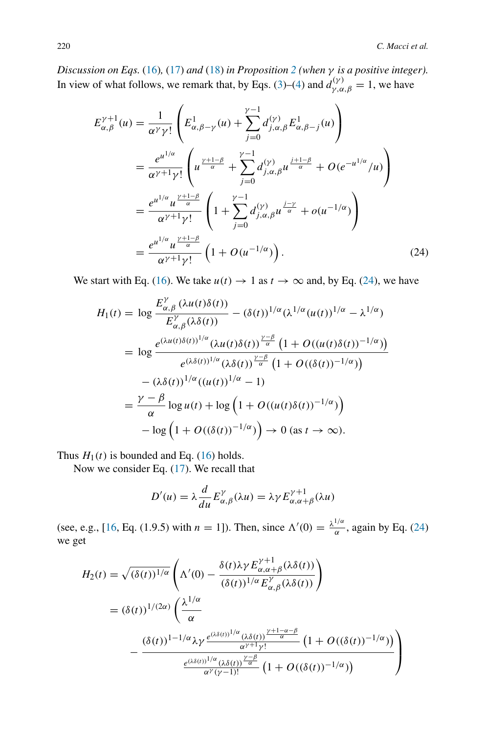*Discussion on Eqs.* [\(16\)](#page-8-1)*,* [\(17\)](#page-8-2) *and* [\(18\)](#page-8-3) *in Proposition [2](#page-8-0) (when γ is a positive integer).* In view of what follows, we remark that, by Eqs. [\(3\)](#page-4-2)–[\(4\)](#page-4-3) and  $d_{\gamma,\alpha,\beta}^{(\gamma)} = 1$ , we have

$$
E_{\alpha,\beta}^{\gamma+1}(u) = \frac{1}{\alpha^{\gamma} \gamma!} \left( E_{\alpha,\beta-\gamma}^{1}(u) + \sum_{j=0}^{\gamma-1} d_{j,\alpha,\beta}^{(\gamma)} E_{\alpha,\beta-j}^{1}(u) \right)
$$
  
\n
$$
= \frac{e^{u^{1/\alpha}}}{\alpha^{\gamma+1} \gamma!} \left( u^{\frac{\gamma+1-\beta}{\alpha}} + \sum_{j=0}^{\gamma-1} d_{j,\alpha,\beta}^{(\gamma)} u^{\frac{j+1-\beta}{\alpha}} + O(e^{-u^{1/\alpha}}/u) \right)
$$
  
\n
$$
= \frac{e^{u^{1/\alpha}} u^{\frac{\gamma+1-\beta}{\alpha}}}{\alpha^{\gamma+1} \gamma!} \left( 1 + \sum_{j=0}^{\gamma-1} d_{j,\alpha,\beta}^{(\gamma)} u^{\frac{j-\gamma}{\alpha}} + o(u^{-1/\alpha}) \right)
$$
  
\n
$$
= \frac{e^{u^{1/\alpha}} u^{\frac{\gamma+1-\beta}{\alpha}}}{\alpha^{\gamma+1} \gamma!} \left( 1 + O(u^{-1/\alpha}) \right). \tag{24}
$$

We start with Eq. [\(16\)](#page-8-1). We take  $u(t) \to 1$  as  $t \to \infty$  and, by Eq. [\(24\)](#page-13-0), we have

<span id="page-13-0"></span>
$$
H_1(t) = \log \frac{E_{\alpha,\beta}^{\gamma} (\lambda u(t)\delta(t))}{E_{\alpha,\beta}^{\gamma} (\lambda \delta(t))} - (\delta(t))^{1/\alpha} (\lambda^{1/\alpha} (u(t))^{1/\alpha} - \lambda^{1/\alpha})
$$
  
\n
$$
= \log \frac{e^{(\lambda u(t)\delta(t))^{1/\alpha} (\lambda u(t)\delta(t))^{\frac{\gamma-\beta}{\alpha}} (1 + O((u(t)\delta(t))^{-1/\alpha}))}{e^{(\lambda \delta(t))^{1/\alpha} (\lambda \delta(t))^{\frac{\gamma-\beta}{\alpha}} (1 + O((\delta(t))^{-1/\alpha}))}
$$
  
\n
$$
- (\lambda \delta(t))^{1/\alpha} ((u(t))^{1/\alpha} - 1)
$$
  
\n
$$
= \frac{\gamma-\beta}{\alpha} \log u(t) + \log \left(1 + O((u(t)\delta(t))^{-1/\alpha})\right)
$$
  
\n
$$
- \log \left(1 + O((\delta(t))^{-1/\alpha})\right) \to 0 \text{ (as } t \to \infty).
$$

Thus  $H_1(t)$  is bounded and Eq. [\(16\)](#page-8-1) holds.

Now we consider Eq. [\(17\)](#page-8-2). We recall that

$$
D'(u) = \lambda \frac{d}{du} E_{\alpha,\beta}^{\gamma}(\lambda u) = \lambda \gamma E_{\alpha,\alpha+\beta}^{\gamma+1}(\lambda u)
$$

(see, e.g., [\[16,](#page-20-15) Eq. (1.9.5) with  $n = 1$ ]). Then, since  $\Lambda'(0) = \frac{\lambda^{1/\alpha}}{\alpha}$ , again by Eq. [\(24\)](#page-13-0) we get

$$
H_2(t) = \sqrt{(\delta(t))^{1/\alpha}} \left( \Lambda'(0) - \frac{\delta(t)\lambda \gamma E_{\alpha,\alpha+\beta}^{\gamma+1}(\lambda \delta(t))}{(\delta(t))^{1/\alpha} E_{\alpha,\beta}^{\gamma}(\lambda \delta(t))} \right)
$$
  

$$
= (\delta(t))^{1/(2\alpha)} \left( \frac{\lambda^{1/\alpha}}{\alpha} - \frac{(\delta(t))^{1-(\alpha+\beta)}(\lambda \delta(t))^{1/\alpha}(\lambda \delta(t))^{1/(2\alpha+\beta)}(\lambda \delta(t))^{1/(2\alpha+\beta+\beta)}}{\frac{e^{(\lambda \delta(t))^{1/\alpha}}(\lambda \delta(t))^{1/\alpha}}{\alpha^{\gamma+1}(\lambda \delta(t))^{1/\alpha}} \left(1 + O((\delta(t))^{-1/\alpha})\right)} \right)
$$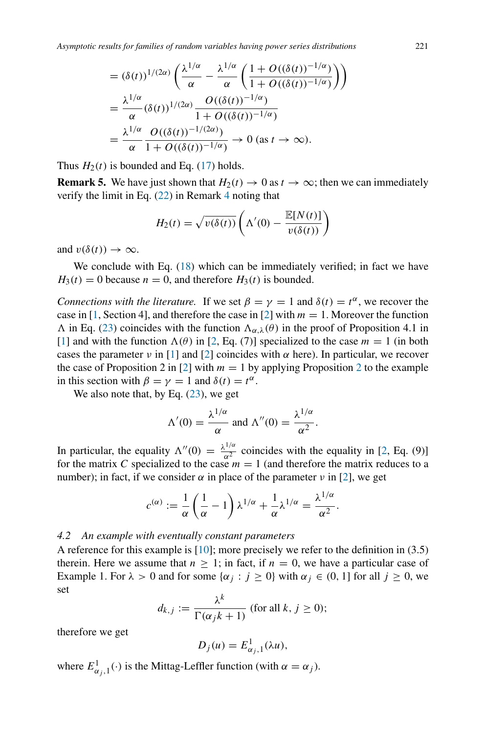$$
= (\delta(t))^{1/(2\alpha)} \left( \frac{\lambda^{1/\alpha}}{\alpha} - \frac{\lambda^{1/\alpha}}{\alpha} \left( \frac{1 + O((\delta(t))^{-1/\alpha})}{1 + O((\delta(t))^{-1/\alpha})} \right) \right)
$$
  

$$
= \frac{\lambda^{1/\alpha}}{\alpha} (\delta(t))^{1/(2\alpha)} \frac{O((\delta(t))^{-1/\alpha})}{1 + O((\delta(t))^{-1/\alpha})}
$$
  

$$
= \frac{\lambda^{1/\alpha}}{\alpha} \frac{O((\delta(t))^{-1/(2\alpha)})}{1 + O((\delta(t))^{-1/\alpha})} \to 0 \text{ (as } t \to \infty).
$$

Thus  $H_2(t)$  is bounded and Eq. [\(17\)](#page-8-2) holds.

<span id="page-14-1"></span>**Remark 5.** We have just shown that  $H_2(t) \to 0$  as  $t \to \infty$ ; then we can immediately verify the limit in Eq. [\(22\)](#page-11-1) in Remark [4](#page-11-0) noting that

$$
H_2(t) = \sqrt{v(\delta(t))} \left( \Lambda'(0) - \frac{\mathbb{E}[N(t)]}{v(\delta(t))} \right)
$$

and  $v(\delta(t)) \to \infty$ .

We conclude with Eq. [\(18\)](#page-8-3) which can be immediately verified; in fact we have  $H_3(t) = 0$  because  $n = 0$ , and therefore  $H_3(t)$  is bounded.

*Connections with the literature.* If we set  $\beta = \gamma = 1$  and  $\delta(t) = t^{\alpha}$ , we recover the case in [\[1](#page-20-5), Section 4], and therefore the case in [\[2\]](#page-20-16) with  $m = 1$ . Moreover the function  $\Lambda$  in Eq. [\(23\)](#page-12-2) coincides with the function  $\Lambda_{\alpha,\lambda}(\theta)$  in the proof of Proposition 4.1 in [\[1](#page-20-5)] and with the function  $\Lambda(\theta)$  in [\[2,](#page-20-16) Eq. (7)] specialized to the case  $m = 1$  (in both cases the parameter *ν* in [\[1](#page-20-5)] and [\[2\]](#page-20-16) coincides with  $\alpha$  here). In particular, we recover the case of Proposition 2 in [\[2\]](#page-20-16) with  $m = 1$  by applying Proposition [2](#page-8-0) to the example in this section with  $\beta = \gamma = 1$  and  $\delta(t) = t^{\alpha}$ .

We also note that, by Eq.  $(23)$ , we get

$$
\Lambda'(0) = \frac{\lambda^{1/\alpha}}{\alpha} \text{ and } \Lambda''(0) = \frac{\lambda^{1/\alpha}}{\alpha^2}.
$$

In particular, the equality  $\Lambda''(0) = \frac{\lambda^{1/\alpha}}{\alpha^2}$  coincides with the equality in [\[2,](#page-20-16) Eq. (9)] for the matrix *C* specialized to the case  $m = 1$  (and therefore the matrix reduces to a number); in fact, if we consider  $\alpha$  in place of the parameter  $\nu$  in [\[2](#page-20-16)], we get

$$
c^{(\alpha)} := \frac{1}{\alpha} \left( \frac{1}{\alpha} - 1 \right) \lambda^{1/\alpha} + \frac{1}{\alpha} \lambda^{1/\alpha} = \frac{\lambda^{1/\alpha}}{\alpha^2}.
$$

## <span id="page-14-0"></span>*4.2 An example with eventually constant parameters*

A reference for this example is [\[10\]](#page-20-10); more precisely we refer to the definition in (3.5) therein. Here we assume that  $n \geq 1$ ; in fact, if  $n = 0$ , we have a particular case of Example 1. For  $\lambda > 0$  and for some  $\{\alpha_j : j \ge 0\}$  with  $\alpha_j \in (0, 1]$  for all  $j \ge 0$ , we set

$$
d_{k,j} := \frac{\lambda^k}{\Gamma(\alpha_j k + 1)} \text{ (for all } k, j \ge 0\text{);}
$$

therefore we get

$$
D_j(u) = E^1_{\alpha_j,1}(\lambda u),
$$

where  $E^1_{\alpha_j,1}(\cdot)$  is the Mittag-Leffler function (with  $\alpha = \alpha_j$ ).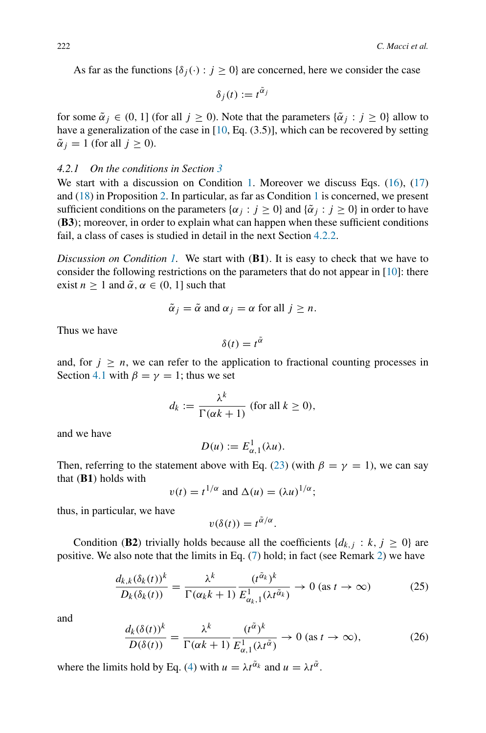As far as the functions  $\{\delta_i(\cdot): j \geq 0\}$  are concerned, here we consider the case

$$
\delta_j(t) := t^{\tilde{\alpha}_j}
$$

for some  $\tilde{\alpha}_i \in (0, 1]$  (for all  $j \ge 0$ ). Note that the parameters  $\{\tilde{\alpha}_i : j \ge 0\}$  allow to have a generalization of the case in [\[10](#page-20-10), Eq. (3.5)], which can be recovered by setting  $\tilde{\alpha}_i = 1$  (for all  $j \geq 0$ ).

# *4.2.1 On the conditions in Section [3](#page-4-0)*

We start with a discussion on Condition [1.](#page-5-0) Moreover we discuss Eqs. [\(16\)](#page-8-1), [\(17\)](#page-8-2) and [\(18\)](#page-8-3) in Proposition [2.](#page-8-0) In particular, as far as Condition [1](#page-5-0) is concerned, we present sufficient conditions on the parameters  $\{\alpha_j : j \ge 0\}$  and  $\{\tilde{\alpha}_j : j \ge 0\}$  in order to have *(***B3***)*; moreover, in order to explain what can happen when these sufficient conditions fail, a class of cases is studied in detail in the next Section [4.2.2.](#page-17-0)

*Discussion on Condition [1.](#page-5-0)* We start with *(***B1***)*. It is easy to check that we have to consider the following restrictions on the parameters that do not appear in  $[10]$ : there exist  $n \ge 1$  and  $\tilde{\alpha}$ ,  $\alpha \in (0, 1]$  such that

$$
\tilde{\alpha}_j = \tilde{\alpha}
$$
 and  $\alpha_j = \alpha$  for all  $j \ge n$ .

Thus we have

$$
\delta(t) = t^{\tilde{\alpha}}
$$

and, for  $j \geq n$ , we can refer to the application to fractional counting processes in Section [4.1](#page-12-1) with  $\beta = \gamma = 1$ ; thus we set

$$
d_k := \frac{\lambda^k}{\Gamma(\alpha k + 1)} \text{ (for all } k \ge 0\text{),}
$$

and we have

$$
D(u) := E^1_{\alpha,1}(\lambda u).
$$

Then, referring to the statement above with Eq. [\(23\)](#page-12-2) (with  $\beta = \gamma = 1$ ), we can say that *(***B1***)* holds with

$$
v(t) = t^{1/\alpha}
$$
 and  $\Delta(u) = (\lambda u)^{1/\alpha}$ ;

thus, in particular, we have

$$
v(\delta(t)) = t^{\tilde{\alpha}/\alpha}.
$$

Condition (**B2**) trivially holds because all the coefficients  $\{d_{k,j}: k, j \geq 0\}$  are positive. We also note that the limits in Eq. [\(7\)](#page-5-1) hold; in fact (see Remark [2\)](#page-5-4) we have

<span id="page-15-0"></span>
$$
\frac{d_{k,k}(\delta_k(t))^k}{D_k(\delta_k(t))} = \frac{\lambda^k}{\Gamma(\alpha_k k + 1)} \frac{(t^{\tilde{\alpha}_k})^k}{E_{\alpha_k,1}^1(\lambda t^{\tilde{\alpha}_k})} \to 0 \text{ (as } t \to \infty)
$$
 (25)

and

<span id="page-15-1"></span>
$$
\frac{d_k(\delta(t))^k}{D(\delta(t))} = \frac{\lambda^k}{\Gamma(\alpha k + 1)} \frac{(t^{\tilde{\alpha}})^k}{E_{\alpha,1}^1(\lambda t^{\tilde{\alpha}})} \to 0 \text{ (as } t \to \infty),\tag{26}
$$

where the limits hold by Eq. [\(4\)](#page-4-3) with  $u = \lambda t^{\tilde{\alpha}}$  and  $u = \lambda t^{\tilde{\alpha}}$ .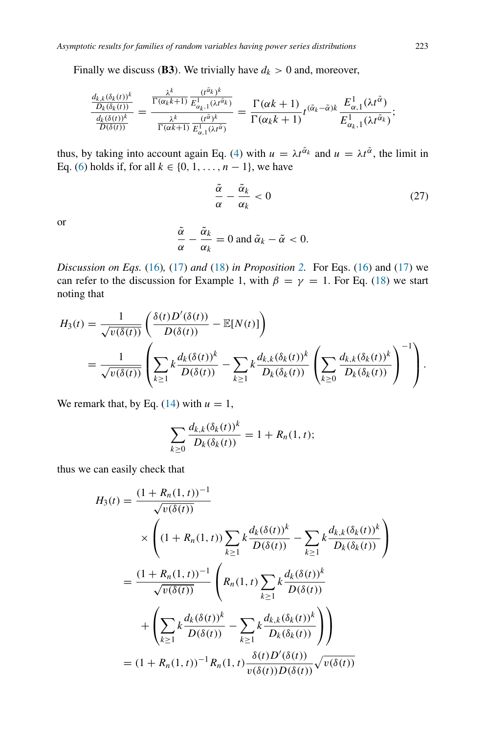*λk*

Finally we discuss (**B3**). We trivially have  $d_k > 0$  and, moreover,

$$
\frac{\frac{d_{k,k}(\delta_k(t))^{k}}{D_k(\delta_k(t))}}{\frac{d_k(\delta(t))}{D(\delta(t))}} = \frac{\frac{\lambda^k}{\Gamma(\alpha_k k+1)} \frac{(t^{\tilde{\alpha}_k})^k}{E_{\alpha_{k,1}}^1(\lambda t^{\tilde{\alpha}_k})}}{\frac{\lambda^k}{\Gamma(\alpha k+1)} \frac{(t^{\tilde{\alpha}})^k}{E_{\alpha_{k,1}}^1(\lambda t^{\tilde{\alpha}})}} = \frac{\Gamma(\alpha k+1)}{\Gamma(\alpha_k k+1)} t^{(\tilde{\alpha}_k - \tilde{\alpha})k} \frac{E_{\alpha,1}^1(\lambda t^{\tilde{\alpha}})}{E_{\alpha_{k,1}}^1(\lambda t^{\tilde{\alpha}_k})};
$$

thus, by taking into account again Eq. [\(4\)](#page-4-3) with  $u = \lambda t^{\alpha}$  and  $u = \lambda t^{\alpha}$ , the limit in Eq. [\(6\)](#page-5-3) holds if, for all  $k \in \{0, 1, ..., n-1\}$ , we have

<span id="page-16-0"></span>
$$
\frac{\tilde{\alpha}}{\alpha} - \frac{\tilde{\alpha}_k}{\alpha_k} < 0 \tag{27}
$$

or

$$
\frac{\tilde{\alpha}}{\alpha} - \frac{\tilde{\alpha}_k}{\alpha_k} = 0 \text{ and } \tilde{\alpha}_k - \tilde{\alpha} < 0.
$$

*Discussion on Eqs.* [\(16\)](#page-8-1)*,* [\(17\)](#page-8-2) *and* [\(18\)](#page-8-3) *in Proposition [2.](#page-8-0)* For Eqs. [\(16\)](#page-8-1) and [\(17\)](#page-8-2) we can refer to the discussion for Example 1, with  $\beta = \gamma = 1$ . For Eq. [\(18\)](#page-8-3) we start noting that

$$
H_3(t) = \frac{1}{\sqrt{v(\delta(t))}} \left( \frac{\delta(t) D'(\delta(t))}{D(\delta(t))} - \mathbb{E}[N(t)] \right)
$$
  
= 
$$
\frac{1}{\sqrt{v(\delta(t))}} \left( \sum_{k \ge 1} k \frac{d_k(\delta(t))^k}{D(\delta(t))} - \sum_{k \ge 1} k \frac{d_{k,k}(\delta_k(t))^k}{D_k(\delta_k(t))} \left( \sum_{k \ge 0} \frac{d_{k,k}(\delta_k(t))^k}{D_k(\delta_k(t))} \right)^{-1} \right).
$$

We remark that, by Eq.  $(14)$  with  $u = 1$ ,

$$
\sum_{k\geq 0} \frac{d_{k,k}(\delta_k(t))^k}{D_k(\delta_k(t))} = 1 + R_n(1,t);
$$

thus we can easily check that

$$
H_3(t) = \frac{(1 + R_n(1, t))^{-1}}{\sqrt{v(\delta(t))}}
$$
  
\n
$$
\times \left( (1 + R_n(1, t)) \sum_{k \ge 1} k \frac{d_k(\delta(t))^k}{D(\delta(t))} - \sum_{k \ge 1} k \frac{d_{k,k}(\delta_k(t))^k}{D_k(\delta_k(t))} \right)
$$
  
\n
$$
= \frac{(1 + R_n(1, t))^{-1}}{\sqrt{v(\delta(t))}} \left( R_n(1, t) \sum_{k \ge 1} k \frac{d_k(\delta(t))^k}{D(\delta(t))} - \sum_{k \ge 1} k \frac{d_k(\delta(t))^k}{D_k(\delta_k(t))} \right)
$$
  
\n
$$
= (1 + R_n(1, t))^{-1} R_n(1, t) \frac{\delta(t) D'(\delta(t))}{v(\delta(t)) D(\delta(t))} \sqrt{v(\delta(t))}
$$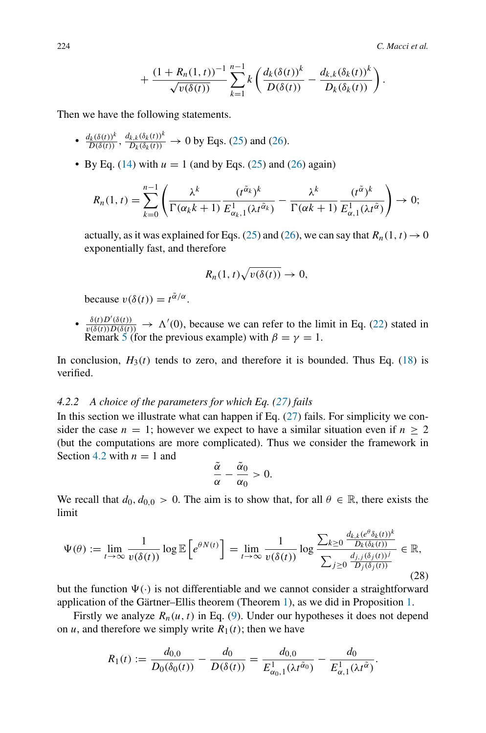$$
+\frac{(1+R_n(1,t))^{-1}}{\sqrt{v(\delta(t))}}\sum_{k=1}^{n-1}k\left(\frac{d_k(\delta(t))^k}{D(\delta(t))}-\frac{d_{k,k}(\delta_k(t))^k}{D_k(\delta_k(t))}\right).
$$

Then we have the following statements.

- $\frac{d_k(\delta(t))^k}{D(\delta(t))}$ ,  $\frac{d_{k,k}(\delta_k(t))^k}{D_k(\delta_k(t))} \to 0$  by Eqs. [\(25\)](#page-15-0) and [\(26\)](#page-15-1).
- By Eq. [\(14\)](#page-7-1) with  $u = 1$  (and by Eqs. [\(25\)](#page-15-0) and [\(26\)](#page-15-1) again)

$$
R_n(1,t) = \sum_{k=0}^{n-1} \left( \frac{\lambda^k}{\Gamma(\alpha_k k + 1)} \frac{(t^{\tilde{\alpha}_k})^k}{E_{\alpha_k,1}^1(\lambda t^{\tilde{\alpha}_k})} - \frac{\lambda^k}{\Gamma(\alpha k + 1)} \frac{(t^{\tilde{\alpha}})^k}{E_{\alpha,1}^1(\lambda t^{\tilde{\alpha}})} \right) \to 0;
$$

actually, as it was explained for Eqs. [\(25\)](#page-15-0) and [\(26\)](#page-15-1), we can say that  $R_n(1, t) \rightarrow 0$ exponentially fast, and therefore

$$
R_n(1,t)\sqrt{v(\delta(t))}\to 0,
$$

because  $v(\delta(t)) = t^{\tilde{\alpha}/\alpha}$ .

•  $\frac{\delta(t)D'(\delta(t))}{v(\delta(t))D(\delta(t))} \to \Lambda'(0)$ , because we can refer to the limit in Eq. [\(22\)](#page-11-1) stated in Remark [5](#page-14-1) (for the previous example) with  $\beta = \gamma = 1$ .

In conclusion,  $H_3(t)$  tends to zero, and therefore it is bounded. Thus Eq. [\(18\)](#page-8-3) is verified.

# <span id="page-17-0"></span>*4.2.2 A choice of the parameters for which Eq. [\(27\)](#page-16-0) fails*

In this section we illustrate what can happen if Eq.  $(27)$  fails. For simplicity we consider the case  $n = 1$ ; however we expect to have a similar situation even if  $n > 2$ (but the computations are more complicated). Thus we consider the framework in Section [4.2](#page-14-0) with  $n = 1$  and

$$
\frac{\tilde{\alpha}}{\alpha}-\frac{\tilde{\alpha}_0}{\alpha_0}>0.
$$

We recall that  $d_0, d_{0,0} > 0$ . The aim is to show that, for all  $\theta \in \mathbb{R}$ , there exists the limit

<span id="page-17-1"></span>
$$
\Psi(\theta) := \lim_{t \to \infty} \frac{1}{v(\delta(t))} \log \mathbb{E}\left[e^{\theta N(t)}\right] = \lim_{t \to \infty} \frac{1}{v(\delta(t))} \log \frac{\sum_{k \ge 0} \frac{d_{k,k}(e^{\theta} \delta_k(t))^k}{D_k(\delta_k(t))}}{\sum_{j \ge 0} \frac{d_{j,j}(\delta_j(t))^j}{D_j(\delta_j(t))}} \in \mathbb{R},\tag{28}
$$

but the function  $\Psi(\cdot)$  is not differentiable and we cannot consider a straightforward application of the Gärtner–Ellis theorem (Theorem [1\)](#page-3-1), as we did in Proposition [1.](#page-6-3)

Firstly we analyze  $R_n(u, t)$  in Eq. [\(9\)](#page-6-2). Under our hypotheses it does not depend on *u*, and therefore we simply write  $R_1(t)$ ; then we have

$$
R_1(t) := \frac{d_{0,0}}{D_0(\delta_0(t))} - \frac{d_0}{D(\delta(t))} = \frac{d_{0,0}}{E_{\alpha_0,1}^1(\lambda t^{\tilde{\alpha}_0})} - \frac{d_0}{E_{\alpha,1}^1(\lambda t^{\tilde{\alpha}})}.
$$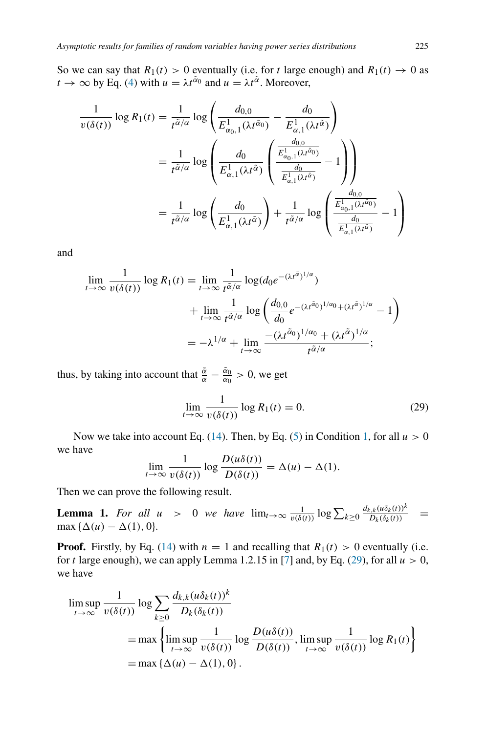So we can say that  $R_1(t) > 0$  eventually (i.e. for *t* large enough) and  $R_1(t) \rightarrow 0$  as  $t \to \infty$  by Eq. [\(4\)](#page-4-3) with  $u = \lambda t^{\alpha}$  and  $u = \lambda t^{\alpha}$ . Moreover,

$$
\frac{1}{v(\delta(t))} \log R_1(t) = \frac{1}{t^{\tilde{\alpha}/\alpha}} \log \left( \frac{d_{0,0}}{E_{\alpha_{0},1}^1(\lambda t^{\tilde{\alpha}_0})} - \frac{d_0}{E_{\alpha,1}^1(\lambda t^{\tilde{\alpha}})} \right)
$$

$$
= \frac{1}{t^{\tilde{\alpha}/\alpha}} \log \left( \frac{d_0}{E_{\alpha,1}^1(\lambda t^{\tilde{\alpha}})} \left( \frac{\frac{d_{0,0}}{E_{\alpha_{0},1}^1(\lambda t^{\tilde{\alpha}_0})}}{\frac{d_0}{E_{\alpha,1}^1(\lambda t^{\tilde{\alpha}})}} - 1 \right) \right)
$$

$$
= \frac{1}{t^{\tilde{\alpha}/\alpha}} \log \left( \frac{d_0}{E_{\alpha,1}^1(\lambda t^{\tilde{\alpha}})} \right) + \frac{1}{t^{\tilde{\alpha}/\alpha}} \log \left( \frac{\frac{d_{0,0}}{E_{\alpha_{0},1}^1(\lambda t^{\tilde{\alpha}_0})}}{\frac{d_0}{E_{\alpha,1}^1(\lambda t^{\tilde{\alpha}})}} - 1 \right)
$$

and

$$
\lim_{t \to \infty} \frac{1}{v(\delta(t))} \log R_1(t) = \lim_{t \to \infty} \frac{1}{t^{\tilde{\alpha}/\alpha}} \log(d_0 e^{-(\lambda t^{\tilde{\alpha}})^{1/\alpha}}) \n+ \lim_{t \to \infty} \frac{1}{t^{\tilde{\alpha}/\alpha}} \log \left( \frac{d_{0,0}}{d_0} e^{-(\lambda t^{\tilde{\alpha}})^{1/\alpha} + (\lambda t^{\tilde{\alpha}})^{1/\alpha}} - 1 \right) \n= -\lambda^{1/\alpha} + \lim_{t \to \infty} \frac{-(\lambda t^{\tilde{\alpha}})^{1/\alpha_0} + (\lambda t^{\tilde{\alpha}})^{1/\alpha}}{t^{\tilde{\alpha}/\alpha}};
$$

thus, by taking into account that  $\frac{\tilde{\alpha}}{\alpha} - \frac{\tilde{\alpha}_0}{\alpha_0} > 0$ , we get

<span id="page-18-0"></span>
$$
\lim_{t \to \infty} \frac{1}{v(\delta(t))} \log R_1(t) = 0.
$$
\n(29)

Now we take into account Eq. [\(14\)](#page-7-1). Then, by Eq. [\(5\)](#page-5-2) in Condition [1,](#page-5-0) for all  $u > 0$ we have

$$
\lim_{t \to \infty} \frac{1}{v(\delta(t))} \log \frac{D(u\delta(t))}{D(\delta(t))} = \Delta(u) - \Delta(1).
$$

Then we can prove the following result.

<span id="page-18-1"></span>**Lemma 1.** *For all u* > 0 *we have*  $\lim_{t\to\infty} \frac{1}{v(\delta(t))} \log \sum_{k\geq 0} \frac{d_{k,k}(u\delta_k(t))^k}{D_k(\delta_k(t))}$  =  $max \{ \Delta(u) - \Delta(1), 0 \}.$ 

**Proof.** Firstly, by Eq. [\(14\)](#page-7-1) with  $n = 1$  and recalling that  $R_1(t) > 0$  eventually (i.e. for *t* large enough), we can apply Lemma 1.2.15 in [\[7](#page-20-9)] and, by Eq. [\(29\)](#page-18-0), for all  $u > 0$ , we have

$$
\limsup_{t \to \infty} \frac{1}{v(\delta(t))} \log \sum_{k \ge 0} \frac{d_{k,k}(u\delta_k(t))^k}{D_k(\delta_k(t))}
$$
\n
$$
= \max \left\{ \limsup_{t \to \infty} \frac{1}{v(\delta(t))} \log \frac{D(u\delta(t))}{D(\delta(t))}, \limsup_{t \to \infty} \frac{1}{v(\delta(t))} \log R_1(t) \right\}
$$
\n
$$
= \max \left\{ \Delta(u) - \Delta(1), 0 \right\}.
$$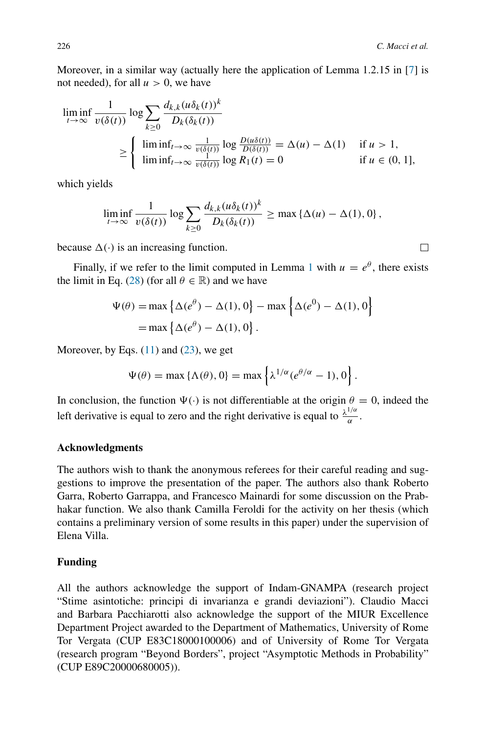Moreover, in a similar way (actually here the application of Lemma 1.2.15 in [\[7](#page-20-9)] is not needed), for all  $u > 0$ , we have

$$
\liminf_{t \to \infty} \frac{1}{v(\delta(t))} \log \sum_{k \ge 0} \frac{d_{k,k}(u\delta_k(t))^k}{D_k(\delta_k(t))}
$$
\n
$$
\ge \begin{cases}\n\liminf_{t \to \infty} \frac{1}{v(\delta(t))} \log \frac{D(u\delta(t))}{D(\delta(t))} = \Delta(u) - \Delta(1) & \text{if } u > 1, \\
\liminf_{t \to \infty} \frac{1}{v(\delta(t))} \log R_1(t) = 0 & \text{if } u \in (0, 1],\n\end{cases}
$$

which yields

$$
\liminf_{t\to\infty}\frac{1}{v(\delta(t))}\log\sum_{k\geq 0}\frac{d_{k,k}(u\delta_k(t))^k}{D_k(\delta_k(t))}\geq \max\left\{\Delta(u)-\Delta(1),0\right\},\,
$$

because  $\Delta(\cdot)$  is an increasing function.

Finally, if we refer to the limit computed in Lemma [1](#page-18-1) with  $u = e^{\theta}$ , there exists the limit in Eq. [\(28\)](#page-17-1) (for all  $\theta \in \mathbb{R}$ ) and we have

$$
\Psi(\theta) = \max \left\{ \Delta(e^{\theta}) - \Delta(1), 0 \right\} - \max \left\{ \Delta(e^0) - \Delta(1), 0 \right\}
$$

$$
= \max \left\{ \Delta(e^{\theta}) - \Delta(1), 0 \right\}.
$$

Moreover, by Eqs.  $(11)$  and  $(23)$ , we get

$$
\Psi(\theta) = \max \{ \Lambda(\theta), 0 \} = \max \left\{ \lambda^{1/\alpha} (e^{\theta/\alpha} - 1), 0 \right\}.
$$

In conclusion, the function  $\Psi(\cdot)$  is not differentiable at the origin  $\theta = 0$ , indeed the left derivative is equal to zero and the right derivative is equal to  $\frac{\lambda^{1/\alpha}}{\alpha}$ .

# **Acknowledgments**

The authors wish to thank the anonymous referees for their careful reading and suggestions to improve the presentation of the paper. The authors also thank Roberto Garra, Roberto Garrappa, and Francesco Mainardi for some discussion on the Prabhakar function. We also thank Camilla Feroldi for the activity on her thesis (which contains a preliminary version of some results in this paper) under the supervision of Elena Villa.

## **Funding**

All the authors acknowledge the support of Indam-GNAMPA (research project "Stime asintotiche: principi di invarianza e grandi deviazioni"). Claudio Macci and Barbara Pacchiarotti also acknowledge the support of the MIUR Excellence Department Project awarded to the Department of Mathematics, University of Rome Tor Vergata (CUP E83C18000100006) and of University of Rome Tor Vergata (research program "Beyond Borders", project "Asymptotic Methods in Probability" (CUP E89C20000680005)).

 $\Box$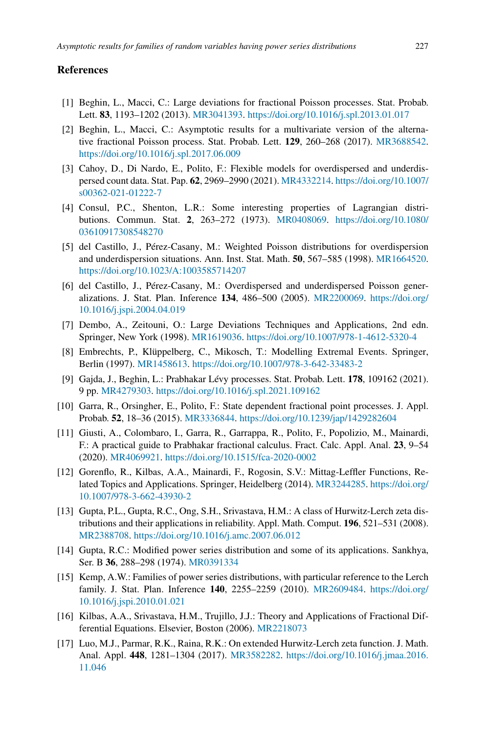## **References**

- <span id="page-20-5"></span>[1] Beghin, L., Macci, C.: Large deviations for fractional Poisson processes. Stat. Probab. Lett. **83**, 1193–1202 (2013). [MR3041393.](http://www.ams.org/mathscinet-getitem?mr=3041393) <https://doi.org/10.1016/j.spl.2013.01.017>
- <span id="page-20-16"></span>[2] Beghin, L., Macci, C.: Asymptotic results for a multivariate version of the alternative fractional Poisson process. Stat. Probab. Lett. **129**, 260–268 (2017). [MR3688542.](http://www.ams.org/mathscinet-getitem?mr=3688542) <https://doi.org/10.1016/j.spl.2017.06.009>
- <span id="page-20-8"></span>[3] Cahoy, D., Di Nardo, E., Polito, F.: Flexible models for overdispersed and underdispersed count data. Stat. Pap. **62**, 2969–2990 (2021). [MR4332214.](http://www.ams.org/mathscinet-getitem?mr=4332214) [https://doi.org/10.1007/](https://doi.org/10.1007/s00362-021-01222-7) [s00362-021-01222-7](https://doi.org/10.1007/s00362-021-01222-7)
- <span id="page-20-1"></span>[4] Consul, P.C., Shenton, L.R.: Some interesting properties of Lagrangian distributions. Commun. Stat. **2**, 263–272 (1973). [MR0408069.](http://www.ams.org/mathscinet-getitem?mr=0408069) [https://doi.org/10.1080/](https://doi.org/10.1080/03610917308548270) [03610917308548270](https://doi.org/10.1080/03610917308548270)
- <span id="page-20-6"></span>[5] del Castillo, J., Pérez-Casany, M.: Weighted Poisson distributions for overdispersion and underdispersion situations. Ann. Inst. Stat. Math. **50**, 567–585 (1998). [MR1664520.](http://www.ams.org/mathscinet-getitem?mr=1664520) <https://doi.org/10.1023/A:1003585714207>
- <span id="page-20-7"></span>[6] del Castillo, J., Pérez-Casany, M.: Overdispersed and underdispersed Poisson generalizations. J. Stat. Plan. Inference **134**, 486–500 (2005). [MR2200069.](http://www.ams.org/mathscinet-getitem?mr=2200069) [https://doi.org/](https://doi.org/10.1016/j.jspi.2004.04.019) [10.1016/j.jspi.2004.04.019](https://doi.org/10.1016/j.jspi.2004.04.019)
- <span id="page-20-9"></span>[7] Dembo, A., Zeitouni, O.: Large Deviations Techniques and Applications, 2nd edn. Springer, New York (1998). [MR1619036.](http://www.ams.org/mathscinet-getitem?mr=1619036) <https://doi.org/10.1007/978-1-4612-5320-4>
- <span id="page-20-14"></span>[8] Embrechts, P., Klüppelberg, C., Mikosch, T.: Modelling Extremal Events. Springer, Berlin (1997). [MR1458613.](http://www.ams.org/mathscinet-getitem?mr=1458613) <https://doi.org/10.1007/978-3-642-33483-2>
- <span id="page-20-13"></span>[9] Gajda, J., Beghin, L.: Prabhakar Lévy processes. Stat. Probab. Lett. **178**, 109162 (2021). 9 pp. [MR4279303.](http://www.ams.org/mathscinet-getitem?mr=4279303) <https://doi.org/10.1016/j.spl.2021.109162>
- <span id="page-20-10"></span>[10] Garra, R., Orsingher, E., Polito, F.: State dependent fractional point processes. J. Appl. Probab. **52**, 18–36 (2015). [MR3336844.](http://www.ams.org/mathscinet-getitem?mr=3336844) <https://doi.org/10.1239/jap/1429282604>
- <span id="page-20-11"></span>[11] Giusti, A., Colombaro, I., Garra, R., Garrappa, R., Polito, F., Popolizio, M., Mainardi, F.: A practical guide to Prabhakar fractional calculus. Fract. Calc. Appl. Anal. **23**, 9–54 (2020). [MR4069921.](http://www.ams.org/mathscinet-getitem?mr=4069921) <https://doi.org/10.1515/fca-2020-0002>
- <span id="page-20-12"></span>[12] Gorenflo, R., Kilbas, A.A., Mainardi, F., Rogosin, S.V.: Mittag-Leffler Functions, Related Topics and Applications. Springer, Heidelberg (2014). [MR3244285.](http://www.ams.org/mathscinet-getitem?mr=3244285) [https://doi.org/](https://doi.org/10.1007/978-3-662-43930-2) [10.1007/978-3-662-43930-2](https://doi.org/10.1007/978-3-662-43930-2)
- <span id="page-20-2"></span>[13] Gupta, P.L., Gupta, R.C., Ong, S.H., Srivastava, H.M.: A class of Hurwitz-Lerch zeta distributions and their applications in reliability. Appl. Math. Comput. **196**, 521–531 (2008). [MR2388708.](http://www.ams.org/mathscinet-getitem?mr=2388708) <https://doi.org/10.1016/j.amc.2007.06.012>
- <span id="page-20-0"></span>[14] Gupta, R.C.: Modified power series distribution and some of its applications. Sankhya, Ser. B **36**, 288–298 (1974). [MR0391334](http://www.ams.org/mathscinet-getitem?mr=0391334)
- <span id="page-20-3"></span>[15] Kemp, A.W.: Families of power series distributions, with particular reference to the Lerch family. J. Stat. Plan. Inference **140**, 2255–2259 (2010). [MR2609484.](http://www.ams.org/mathscinet-getitem?mr=2609484) [https://doi.org/](https://doi.org/10.1016/j.jspi.2010.01.021) [10.1016/j.jspi.2010.01.021](https://doi.org/10.1016/j.jspi.2010.01.021)
- <span id="page-20-15"></span>[16] Kilbas, A.A., Srivastava, H.M., Trujillo, J.J.: Theory and Applications of Fractional Differential Equations. Elsevier, Boston (2006). [MR2218073](http://www.ams.org/mathscinet-getitem?mr=2218073)
- <span id="page-20-4"></span>[17] Luo, M.J., Parmar, R.K., Raina, R.K.: On extended Hurwitz-Lerch zeta function. J. Math. Anal. Appl. **448**, 1281–1304 (2017). [MR3582282.](http://www.ams.org/mathscinet-getitem?mr=3582282) [https://doi.org/10.1016/j.jmaa.2016.](https://doi.org/10.1016/j.jmaa.2016.11.046) [11.046](https://doi.org/10.1016/j.jmaa.2016.11.046)